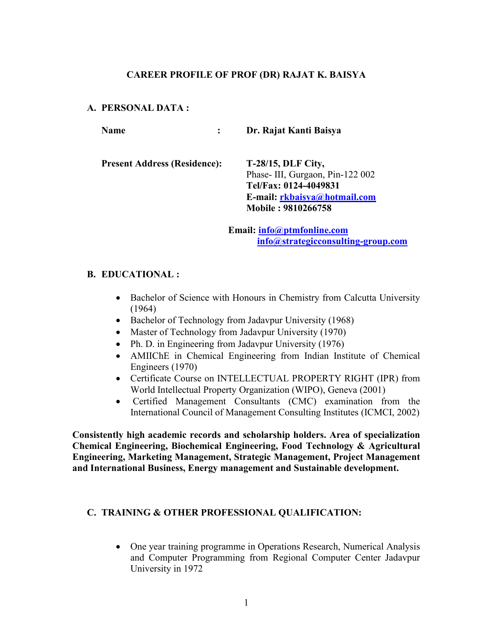#### **CAREER PROFILE OF PROF (DR) RAJAT K. BAISYA**

#### **A. PERSONAL DATA :**

**Name : Dr. Rajat Kanti Baisya Present Address (Residence): T-28/15, DLF City,** Phase- III, Gurgaon, Pin-122 002 **Tel/Fax: 0124-4049831 E-mail: [rkbaisya@hotmail.com](mailto:rkbaisya@hotmail.com) Mobile : 9810266758**

> **Email: [info@ptmfonline.com](mailto:info@ptmfonline.com) [info@strategicconsulting-group.com](mailto:info@strategicconsulting-group.com)**

#### **B. EDUCATIONAL :**

- Bachelor of Science with Honours in Chemistry from Calcutta University (1964)
- Bachelor of Technology from Jadavpur University (1968)
- Master of Technology from Jadavpur University (1970)
- Ph. D. in Engineering from Jadavpur University (1976)
- AMIIChE in Chemical Engineering from Indian Institute of Chemical Engineers (1970)
- Certificate Course on INTELLECTUAL PROPERTY RIGHT (IPR) from World Intellectual Property Organization (WIPO), Geneva (2001)
- Certified Management Consultants (CMC) examination from the International Council of Management Consulting Institutes (ICMCI, 2002)

**Consistently high academic records and scholarship holders. Area of specialization Chemical Engineering, Biochemical Engineering, Food Technology & Agricultural Engineering, Marketing Management, Strategic Management, Project Management and International Business, Energy management and Sustainable development.**

#### **C. TRAINING & OTHER PROFESSIONAL QUALIFICATION:**

• One year training programme in Operations Research, Numerical Analysis and Computer Programming from Regional Computer Center Jadavpur University in 1972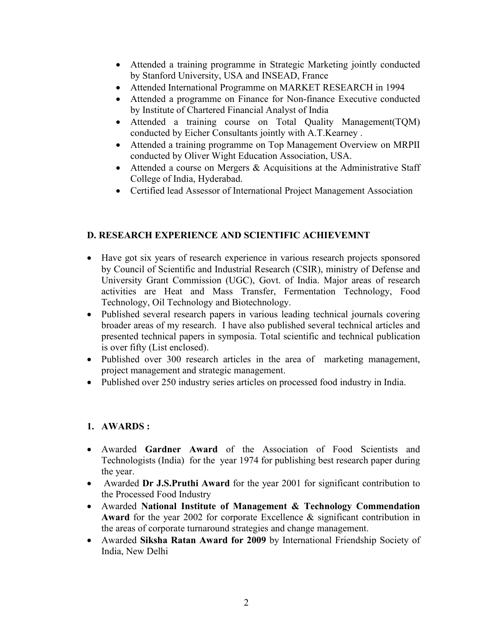- Attended a training programme in Strategic Marketing jointly conducted by Stanford University, USA and INSEAD, France
- Attended International Programme on MARKET RESEARCH in 1994
- Attended a programme on Finance for Non-finance Executive conducted by Institute of Chartered Financial Analyst of India
- Attended a training course on Total Quality Management(TQM) conducted by Eicher Consultants jointly with A.T.Kearney .
- Attended a training programme on Top Management Overview on MRPII conducted by Oliver Wight Education Association, USA.
- Attended a course on Mergers  $&$  Acquisitions at the Administrative Staff College of India, Hyderabad.
- Certified lead Assessor of International Project Management Association

#### **D. RESEARCH EXPERIENCE AND SCIENTIFIC ACHIEVEMNT**

- Have got six years of research experience in various research projects sponsored by Council of Scientific and Industrial Research (CSIR), ministry of Defense and University Grant Commission (UGC), Govt. of India. Major areas of research activities are Heat and Mass Transfer, Fermentation Technology, Food Technology, Oil Technology and Biotechnology.
- Published several research papers in various leading technical journals covering broader areas of my research. I have also published several technical articles and presented technical papers in symposia. Total scientific and technical publication is over fifty (List enclosed).
- Published over 300 research articles in the area of marketing management, project management and strategic management.
- Published over 250 industry series articles on processed food industry in India.

### **1. AWARDS :**

- Awarded **Gardner Award** of the Association of Food Scientists and Technologists (India) for the year 1974 for publishing best research paper during the year.
- Awarded **Dr J.S.Pruthi Award** for the year 2001 for significant contribution to the Processed Food Industry
- Awarded **National Institute of Management & Technology Commendation Award** for the year 2002 for corporate Excellence & significant contribution in the areas of corporate turnaround strategies and change management.
- Awarded **Siksha Ratan Award for 2009** by International Friendship Society of India, New Delhi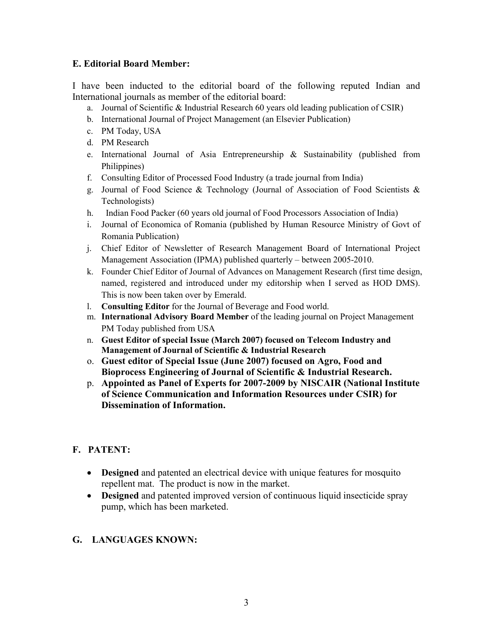#### **E. Editorial Board Member:**

I have been inducted to the editorial board of the following reputed Indian and International journals as member of the editorial board:

- a. Journal of Scientific & Industrial Research 60 years old leading publication of CSIR)
- b. International Journal of Project Management (an Elsevier Publication)
- c. PM Today, USA
- d. PM Research
- e. International Journal of Asia Entrepreneurship & Sustainability (published from Philippines)
- f. Consulting Editor of Processed Food Industry (a trade journal from India)
- g. Journal of Food Science & Technology (Journal of Association of Food Scientists & Technologists)
- h. Indian Food Packer (60 years old journal of Food Processors Association of India)
- i. Journal of Economica of Romania (published by Human Resource Ministry of Govt of Romania Publication)
- j. Chief Editor of Newsletter of Research Management Board of International Project Management Association (IPMA) published quarterly – between 2005-2010.
- k. Founder Chief Editor of Journal of Advances on Management Research (first time design, named, registered and introduced under my editorship when I served as HOD DMS). This is now been taken over by Emerald.
- l. **Consulting Editor** for the Journalof Beverage and Food world.
- m. **International Advisory Board Member** of the leading journal on Project Management PM Today published from USA
- n. **Guest Editor of special Issue (March 2007) focused on Telecom Industry and Management of Journal of Scientific & Industrial Research**
- o. **Guest editor of Special Issue (June 2007) focused on Agro, Food and Bioprocess Engineering of Journal of Scientific & Industrial Research.**
- p. **Appointed as Panel of Experts for 2007-2009 by NISCAIR (National Institute of Science Communication and Information Resources under CSIR) for Dissemination of Information.**

### **F. PATENT:**

- **Designed** and patented an electrical device with unique features for mosquito repellent mat. The product is now in the market.
- **Designed** and patented improved version of continuous liquid insecticide spray pump, which has been marketed.

### **G. LANGUAGES KNOWN:**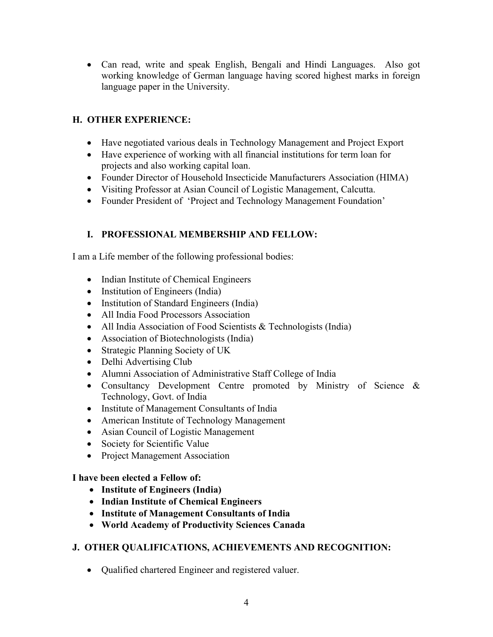Can read, write and speak English, Bengali and Hindi Languages. Also got working knowledge of German language having scored highest marks in foreign language paper in the University.

### **H. OTHER EXPERIENCE:**

- Have negotiated various deals in Technology Management and Project Export
- Have experience of working with all financial institutions for term loan for projects and also working capital loan.
- Founder Director of Household Insecticide Manufacturers Association (HIMA)
- Visiting Professor at Asian Council of Logistic Management, Calcutta.
- Founder President of 'Project and Technology Management Foundation'

### **I. PROFESSIONAL MEMBERSHIP AND FELLOW:**

I am a Life member of the following professional bodies:

- Indian Institute of Chemical Engineers
- Institution of Engineers (India)
- Institution of Standard Engineers (India)
- All India Food Processors Association
- All India Association of Food Scientists & Technologists (India)
- Association of Biotechnologists (India)
- Strategic Planning Society of UK
- Delhi Advertising Club
- Alumni Association of Administrative Staff College of India
- Consultancy Development Centre promoted by Ministry of Science & Technology, Govt. of India
- Institute of Management Consultants of India
- American Institute of Technology Management
- Asian Council of Logistic Management
- Society for Scientific Value
- Project Management Association

#### **I have been elected a Fellow of:**

- **Institute of Engineers (India)**
- **Indian Institute of Chemical Engineers**
- $\bullet$  Institute of Management Consultants of India
- **World Academy of Productivity Sciences Canada**

### **J. OTHER QUALIFICATIONS, ACHIEVEMENTS AND RECOGNITION:**

Qualified chartered Engineer and registered valuer.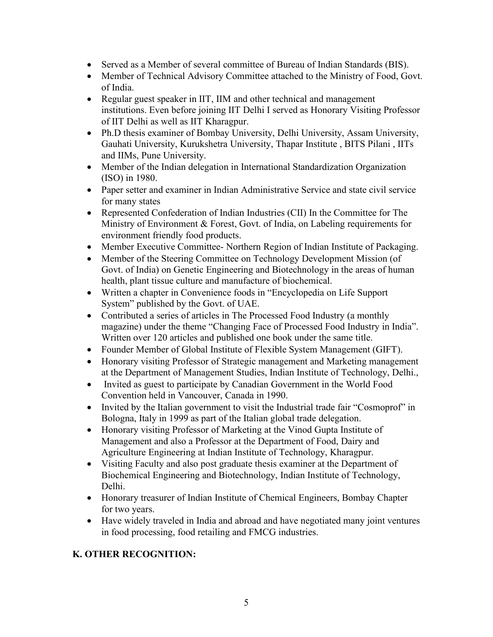- Served as a Member of several committee of Bureau of Indian Standards (BIS).
- Member of Technical Advisory Committee attached to the Ministry of Food, Govt. of India.
- Regular guest speaker in IIT, IIM and other technical and management institutions. Even before joining IIT Delhi I served as Honorary Visiting Professor of IIT Delhi as well as IIT Kharagpur.
- Ph.D thesis examiner of Bombay University, Delhi University, Assam University, Gauhati University, Kurukshetra University, Thapar Institute, BITS Pilani, IITs and IIMs, Pune University.
- Member of the Indian delegation in International Standardization Organization (ISO) in 1980.
- Paper setter and examiner in Indian Administrative Service and state civil service for many states
- Represented Confederation of Indian Industries (CII) In the Committee for The Ministry of Environment & Forest, Govt. of India, on Labeling requirements for environment friendly food products.
- Member Executive Committee- Northern Region of Indian Institute of Packaging.
- Member of the Steering Committee on Technology Development Mission (of Govt. of India) on Genetic Engineering and Biotechnology in the areas of human health, plant tissue culture and manufacture of biochemical.
- Written a chapter in Convenience foods in "Encyclopedia on Life Support System" published by the Govt. of UAE.
- Contributed a series of articles in The Processed Food Industry (a monthly magazine) under the theme "Changing Face of Processed Food Industry in India". Written over 120 articles and published one book under the same title.
- Founder Member of Global Institute of Flexible System Management (GIFT).
- Honorary visiting Professor of Strategic management and Marketing management at the Department of Management Studies, Indian Institute of Technology, Delhi.,
- Invited as guest to participate by Canadian Government in the World Food Convention held in Vancouver, Canada in 1990.
- Invited by the Italian government to visit the Industrial trade fair "Cosmoprof" in Bologna, Italy in 1999 as part of the Italian global trade delegation.
- Honorary visiting Professor of Marketing at the Vinod Gupta Institute of Management and also a Professor at the Department of Food, Dairy and Agriculture Engineering at Indian Institute of Technology, Kharagpur.
- Visiting Faculty and also post graduate thesis examiner at the Department of Biochemical Engineering and Biotechnology, Indian Institute of Technology, Delhi.
- Honorary treasurer of Indian Institute of Chemical Engineers, Bombay Chapter for two years.
- Have widely traveled in India and abroad and have negotiated many joint ventures in food processing, food retailing and FMCG industries.

### **K. OTHER RECOGNITION:**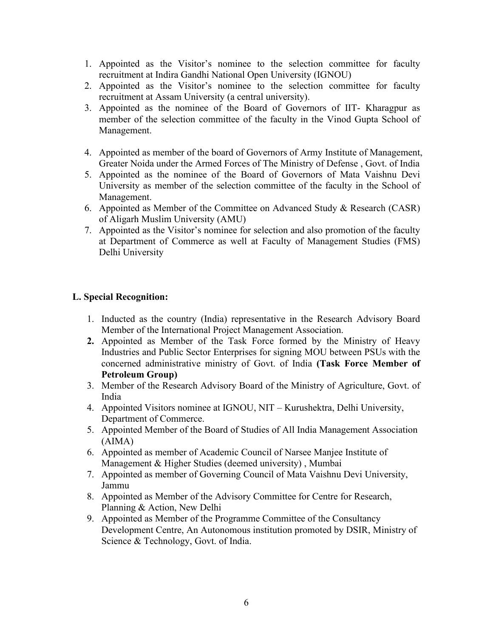- 1. Appointed as the Visitor's nominee to the selection committee for faculty recruitment at Indira Gandhi National Open University (IGNOU)
- 2. Appointed as the Visitor's nominee to the selection committee for faculty recruitment at Assam University (a central university).
- 3. Appointed as the nominee of the Board of Governors of IIT- Kharagpur as member of the selection committee of the faculty in the Vinod Gupta School of Management.
- 4. Appointed as member of the board of Governors of Army Institute of Management, Greater Noida under the Armed Forces of The Ministry of Defense, Govt. of India
- 5. Appointed as the nominee of the Board of Governors of Mata Vaishnu Devi University as member of the selection committee of the faculty in the School of Management.
- 6. Appointed as Member of the Committee on Advanced Study & Research (CASR) of Aligarh Muslim University (AMU)
- 7. Appointed as the Visitor's nominee for selection and also promotion of the faculty at Department of Commerce as well at Faculty of Management Studies (FMS) Delhi University

#### **L. Special Recognition:**

- 1. Inducted as the country (India) representative in the Research Advisory Board Member of the International Project Management Association.
- **2.** Appointed as Member of the Task Force formed by the Ministry of Heavy Industries and Public Sector Enterprises for signing MOU between PSUs with the concerned administrative ministry of Govt. of India **(Task Force Member of Petroleum Group)**
- 3. Member of the Research Advisory Board of the Ministry of Agriculture, Govt. of India
- 4. Appointed Visitors nominee at IGNOU, NIT Kurushektra, Delhi University, Department of Commerce.
- 5. Appointed Member of the Board of Studies of All India Management Association (AIMA)
- 6. Appointed as member of Academic Council of Narsee Manjee Institute of Management & Higher Studies (deemed university) , Mumbai
- 7. Appointed as member of Governing Council of Mata Vaishnu Devi University, Jammu
- 8. Appointed as Member of the Advisory Committee for Centre for Research, Planning & Action, New Delhi
- 9. Appointed as Member of the Programme Committee of the Consultancy Development Centre, An Autonomous institution promoted by DSIR, Ministry of Science & Technology, Govt. of India.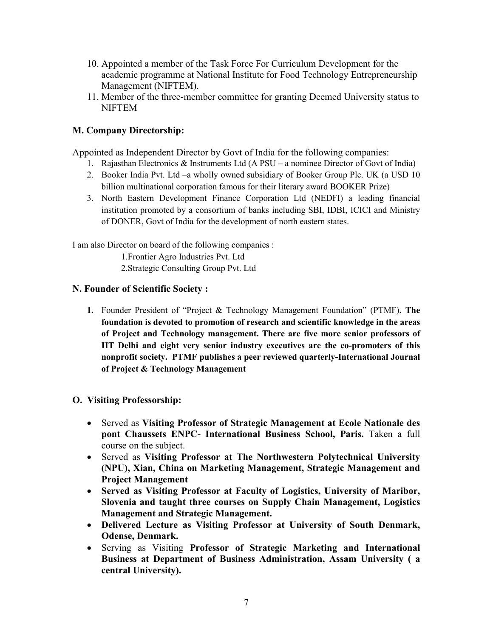- 10. Appointed a member of the Task Force For Curriculum Development for the academic programme at National Institute for Food Technology Entrepreneurship Management (NIFTEM).
- 11. Member of the three-member committee for granting Deemed University status to **NIFTEM**

#### **M. Company Directorship:**

Appointed as Independent Director by Govt of India for the following companies:

- 1. Rajasthan Electronics & Instruments Ltd (A PSU a nominee Director of Govt of India)
- 2. Booker India Pvt. Ltd –a wholly owned subsidiary of Booker Group Plc. UK (a USD 10 billion multinational corporation famous for their literary award BOOKER Prize)
- 3. North Eastern Development Finance Corporation Ltd (NEDFI) a leading financial institution promoted by a consortium of banks including SBI, IDBI, ICICI and Ministry of DONER, Govt of India for the development of north eastern states.

I am also Director on board of the following companies :

1.Frontier Agro Industries Pvt. Ltd

2.Strategic Consulting Group Pvt. Ltd

#### **N. Founder of Scientific Society :**

**1.** Founder President of "Project & Technology Management Foundation" (PTMF)**. The foundation is devoted topromotion of research and scientific knowledge in the areas of Project and Technology management. There are five more senior professors of IIT Delhi and eight very senior industry executives are the co-promoters of this nonprofit society. PTMF publishes a peer reviewed quarterly-International Journal of Project & Technology Management**

#### **O. Visiting Professorship:**

- Served as **Visiting Professor of Strategic Management at Ecole Nationale des pont Chaussets ENPC- International Business School, Paris.** Taken a full course on the subject.
- Served as **Visiting Professor at The Northwestern Polytechnical University (NPU), Xian, China on Marketing Management, Strategic Management and Project Management**
- **Served as Visiting Professor at Faculty of Logistics, University of Maribor, Slovenia and taught three courses on Supply Chain Management, Logistics Management and Strategic Management.**
- **Delivered Lecture as Visiting Professor at University of South Denmark, Odense, Denmark.**
- Serving as Visiting **Professor of Strategic Marketing and International Business at Department of Business Administration, Assam University ( a central University).**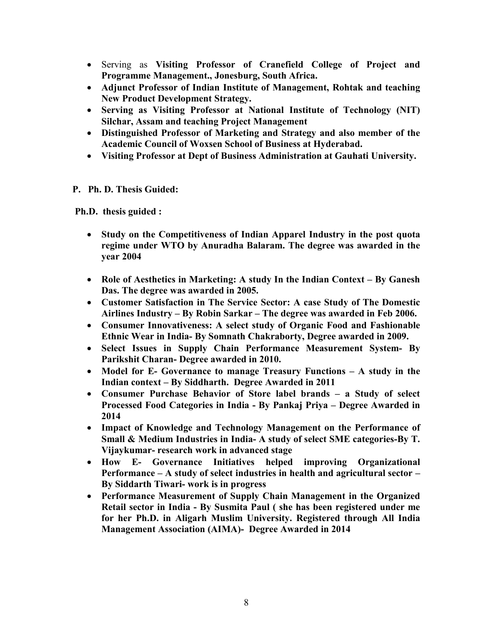- Serving as **Visiting Professor of Cranefield College of Project and Programme Management., Jonesburg, South Africa.**
- **Adjunct Professor of Indian Institute of Management, Rohtak and teaching New Product Development Strategy.**
- **Serving as Visiting Professor at National Institute of Technology (NIT) Silchar, Assam and teaching Project Management**
- **Distinguished Professor of Marketing and Strategy and also member of the Academic Council of Woxsen School of Business at Hyderabad.**
- **Visiting Professor at Dept of Business Administration at Gauhati University.**

#### **P. Ph. D. Thesis Guided:**

**Ph.D. thesis guided :**

- **Study on the Competitiveness of Indian Apparel Industry in the postquota regime under WTO by Anuradha Balaram. The degree was awarded in the year 2004**
- **Role of Aesthetics in Marketing: A study In the Indian Context – By Ganesh Das. The degree was awarded in 2005.**
- **Customer Satisfaction in The Service Sector: A case Study of The Domestic Airlines Industry – By Robin Sarkar – The degree was awarded in Feb 2006.**
- **Consumer Innovativeness: A select study of Organic Food and Fashionable Ethnic Wear in India- By Somnath Chakraborty, Degree awarded in 2009.**
- **Select Issues in Supply Chain Performance Measurement System- By Parikshit Charan- Degree awarded in 2010.**
- **Model for E- Governance to manage Treasury Functions – A study in the Indian context – By Siddharth. Degree Awarded in 2011**
- **Consumer Purchase Behavior of Store label brands – a Study of select Processed Food Categories in India - By Pankaj Priya – Degree Awarded in 2014**
- **Impact of Knowledge and Technology Management on the Performance of Small & Medium Industries in India- A study of select SME categories-By T. Vijaykumar- research work in advanced stage**
- **How E- Governance Initiatives helped improving Organizational Performance – A study of select industries in health and agricultural sector – By Siddarth Tiwari- work is in progress**
- **Performance Measurement of Supply Chain Management in the Organized Retail sector in India - By Susmita Paul ( she has been registered under me for her Ph.D. in Aligarh Muslim University. Registered through All India Management Association (AIMA)- Degree Awarded in 2014**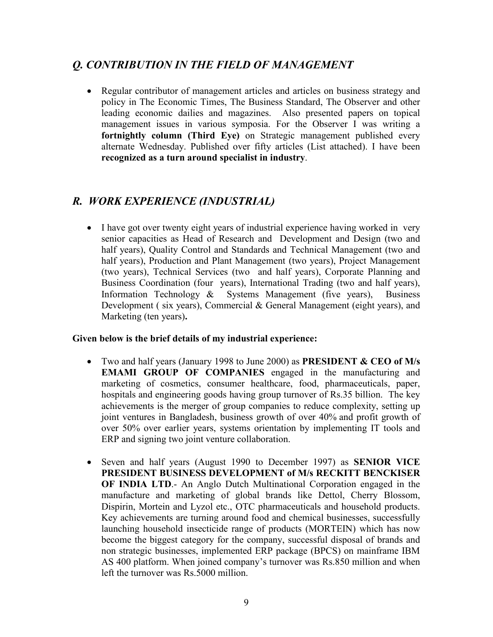## *Q. CONTRIBUTION IN THE FIELD OF MANAGEMENT*

 Regular contributor of management articles and articles on business strategy and policy in The Economic Times, The Business Standard, The Observer and other leading economic dailies and magazines. Also presented papers on topical management issues in various symposia. For the Observer I was writing a **fortnightly column (Third Eye)** on Strategic management published every alternate Wednesday. Published over fifty articles (List attached). I have been **recognized as a turn around specialist in industry**.

### *R. WORK EXPERIENCE (INDUSTRIAL)*

• I have got over twenty eight years of industrial experience having worked in very senior capacities as Head of Research and Development and Design (two and half years), Quality Control and Standards and Technical Management (two and half years), Production and Plant Management (two years), Project Management (two years), Technical Services (two and half years), Corporate Planning and Business Coordination (four years), International Trading (two and half years), Information Technology & Systems Management (five years), Business Development ( six years), Commercial & General Management (eight years), and Marketing (ten years)**.Given below is the brief details of my industrial experience:**

- Two and half years (January 1998 to June 2000) as **PRESIDENT & CEO of M/s EMAMI GROUP OF COMPANIES** engaged in the manufacturing and marketing of cosmetics, consumer healthcare, food, pharmaceuticals, paper, hospitals and engineering goods having group turnover of Rs.35 billion. The key achievements is the merger of group companies to reduce complexity, setting up joint ventures in Bangladesh, business growth of over 40% and profit growth of over 50% over earlier years, systems orientation by implementing IT tools and ERP and signing two joint venture collaboration.
- Seven and half years (August 1990 to December 1997) as **SENIOR VICE PRESIDENT BUSINESS DEVELOPMENT of M/s RECKITT BENCKISER OF INDIA LTD**.- An Anglo Dutch Multinational Corporation engaged in the manufacture and marketing of global brands like Dettol, Cherry Blossom, Dispirin, Mortein and Lyzol etc., OTC pharmaceuticals and household products. Key achievements are turning around food and chemical businesses, successfully launching household insecticide range of products (MORTEIN) which has now become the biggest category for the company, successful disposal of brands and non strategic businesses, implemented ERP package (BPCS) on mainframe IBM AS 400 platform. When joined company's turnover was Rs.850 million and when left the turnover was Rs 5000 million.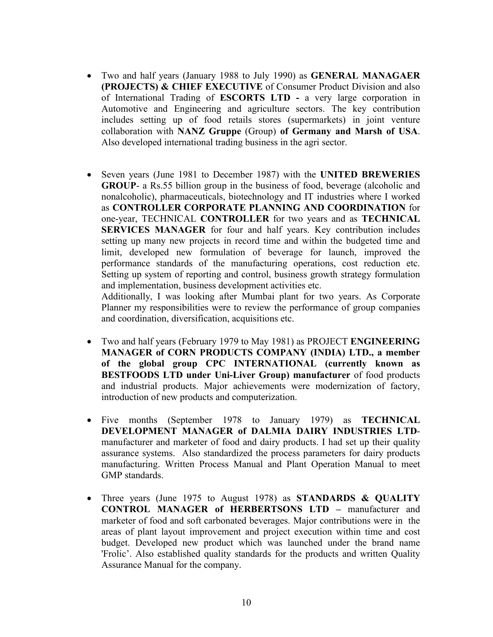- Two and half years (January 1988 to July 1990) as **GENERAL MANAGAER (PROJECTS) & CHIEF EXECUTIVE** of Consumer Product Division and also of International Trading of **ESCORTS LTD -** a very large corporation in Automotive and Engineering and agriculture sectors.The key contribution includes setting up of food retails stores (supermarkets) in joint venture collaboration with **NANZ Gruppe** (Group) **of Germany and Marsh of USA**. Also developed international trading business in the agri sector.
- Seven years (June 1981 to December 1987) with the **UNITED BREWERIES GROUP**- a Rs.55 billion group in the business of food, beverage (alcoholic and nonalcoholic), pharmaceuticals, biotechnology and IT industries where I worked as **CONTROLLER CORPORATE PLANNING AND COORDINATION** for one-year, TECHNICAL **CONTROLLER** for two years and as **TECHNICAL SERVICES MANAGER** for four and half years. Key contribution includes setting up many new projects in record time and within the budgeted time and limit, developed new formulation of beverage for launch, improved the performance standards of the manufacturing operations, cost reduction etc. Setting up system of reporting and control, business growth strategy formulation and implementation, business development activities etc.

Additionally, I was looking after Mumbai plant for two years. As Corporate Planner my responsibilities were to review the performance of group companies and coordination, diversification, acquisitions etc.

- Two and half years (February 1979 to May 1981) as PROJECT **ENGINEERING MANAGER of CORN PRODUCTS COMPANY (INDIA) LTD., a member of the global group CPC INTERNATIONAL (currently known as BESTFOODS LTD under Uni-Liver Group) manufacturer** of food products and industrial products. Major achievements were modernization of factory, introduction of new products and computerization.
- Five months (September 1978 to January 1979) as **TECHNICAL DEVELOPMENT MANAGER of DALMIA DAIRY INDUSTRIES LTD** manufacturer and marketer of food and dairy products. I had set up their quality assurance systems. Also standardized the process parameters for dairy products manufacturing. Written Process Manual and Plant Operation Manual to meet GMP standards.
- Three years (June 1975 to August 1978) as **STANDARDS & QUALITY CONTROL MANAGER of HERBERTSONS LTD –** manufacturer and marketer of food and soft carbonated beverages. Major contributions were in the areas of plant layout improvement and project execution within time and cost budget. Developed new product which was launched under the brand name 'Frolic'. Also established quality standards for the products and written Quality Assurance Manual for the company.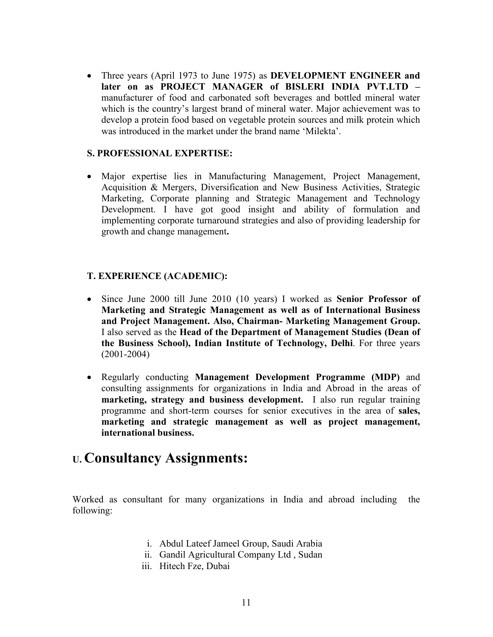Three years (April 1973 to June 1975) as **DEVELOPMENT ENGINEER and later on as PROJECT MANAGER of BISLERIINDIA PVT.LTD –** manufacturer of food and carbonated soft beverages and bottled mineral water which is the country's largest brand of mineral water. Major achievement was to develop a protein food based on vegetable protein sources and milk protein which was introduced in the market under the brand name 'Milekta'.

#### **S. PROFESSIONAL EXPERTISE:**

 Major expertise lies in Manufacturing Management, Project Management, Acquisition & Mergers, Diversification and New Business Activities, Strategic Marketing, Corporate planning and Strategic Management and Technology Development. I have got good insight and ability of formulation and implementing corporate turnaround strategies and also of providing leadership for growth and change management**.**

#### **T. EXPERIENCE (ACADEMIC):**

- Since June 2000 till June 2010 (10 years) I worked as **Senior Professor of Marketing and Strategic Management as well as of International Business and Project Management. Also, Chairman- Marketing Management Group.** I also served as the **Head of the Department of Management Studies (Dean of the Business School), Indian Institute of Technology, Delhi**. For three years (2001-2004)
- Regularly conducting **Management Development Programme (MDP)** and consulting assignments for organizations in India and Abroad in the areas of **marketing, strategy and business development.** I also run regular training programme and short-term courses for senior executives in the area of **sales, marketing and strategic management as well as project management, international business.**

# **U. Consultancy Assignments:**

Worked as consultant for many organizations in India and abroad including the following:

- i. Abdul Lateef Jameel Group, Saudi Arabia
- ii. Gandil Agricultural Company Ltd , Sudan
- iii. Hitech Fze, Dubai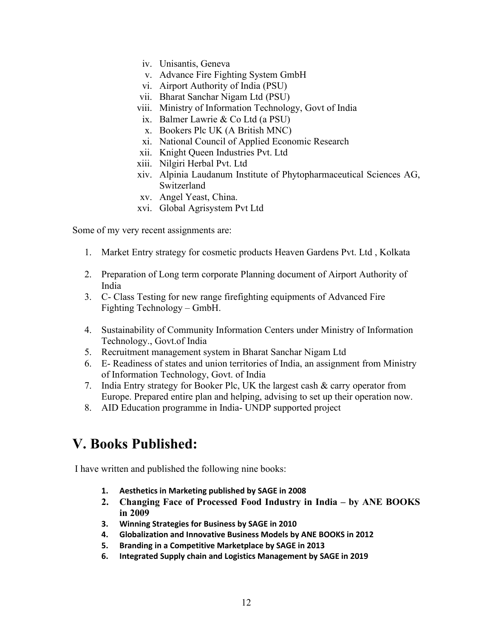- iv. Unisantis, Geneva
- v. Advance Fire Fighting System GmbH
- vi. Airport Authority of India (PSU)
- vii. Bharat Sanchar Nigam Ltd (PSU)
- viii. Ministry of Information Technology, Govt of India
- ix. Balmer Lawrie & Co Ltd (aPSU)
- x. Bookers Plc UK (A British MNC)
- xi. National Council of Applied Economic Research
- xii. Knight Queen Industries Pvt. Ltd
- xiii. Nilgiri Herbal Pvt. Ltd
- xiv. Alpinia Laudanum Institute of Phytopharmaceutical Sciences AG, Switzerland
- xv. Angel Yeast, China.
- xvi. Global Agrisystem Pvt Ltd

Some of my very recent assignments are:

- 1. Market Entry strategy for cosmetic products Heaven Gardens Pvt. Ltd , Kolkata
- 2. Preparation of Long term corporate Planning document of Airport Authority of India
- 3. C- Class Testing for new range firefighting equipments of Advanced Fire Fighting Technology – GmbH.
- 4. Sustainability of Community Information Centers under Ministry of Information Technology., Govt.of India
- 5. Recruitment management system in Bharat Sanchar Nigam Ltd
- 6. E- Readiness of states and union territories of India, an assignment from Ministry of Information Technology, Govt. of India
- 7. India Entry strategy for Booker Plc, UK the largest cash & carry operator from Europe. Prepared entire plan and helping, advising to set up their operation now.
- 8. AID Education programme in India- UNDP supported project

# **V. Books Published:**

I have written and published the following nine books:

- **1. Aesthetics in Marketing published bySAGE in 2008**
- **2. Changing Face of Processed Food Industry in India – by ANE BOOKS in 2009**
- **3. Winning Strategies for Business by SAGE in 2010**
- **4. Globalization and Innovative Business Models by ANE BOOKS in 2012**
- **5. Branding in a Competitive Marketplace by SAGE in 2013**
- **6. Integrated Supply chain and Logistics Management by SAGE in 2019**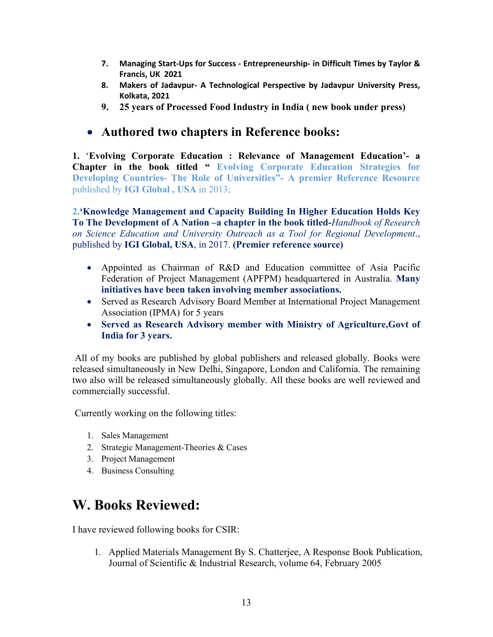- **7. Managing Start-Ups for Success - Entrepreneurship- in Difficult Times by Taylor & Francis, UK 2021**
- **8. Makers of Jadavpur- A Technological Perspective by Jadavpur University Press, Kolkata, 2021**
- **9. 25 years of Processed Food Industry in India ( new book under press)**

# **Authored two chapters in Reference books:**

**1.** '**Evolving Corporate Education : Relevance of Management Education'- a Chapter in the book titled " Evolving Corporate Education Strategies for Developing Countries- The Role of Universities"- A premier Reference Resource** published by **IGI Global ,USA** in 2013;

**2.'Knowledge Management and Capacity Building In Higher Education Holds Key To The Development of A Nation–a chapter in the book titled-***Handbook of Research on Science Education and University Outreach as a Tool for Regional Development*., published by **IGI Global, USA**, in 2017. **(Premier reference source)**

- Appointed as Chairman of R&D and Education committee of Asia Pacific Federation of Project Management (APFPM) headquartered in Australia. **Many initiatives have been taken involving member associations.**
- Served as Research Advisory Board Member at International Project Management Association (IPMA) for 5 years
- **Served as Research Advisory member with Ministry of Agriculture,Govt of India for 3 years.**

All of my books are published by global publishers and released globally. Books were released simultaneously in New Delhi, Singapore, London and California. The remaining two also will be released simultaneously globally. All these books are well reviewed and commercially successful.

Currently working on the following titles:

- 1. Sales Management
- 2. Strategic Management-Theories & Cases
- 3. Project Management
- 4. Business Consulting

# **W. Books Reviewed:**

I have reviewed following books for CSIR:

1. Applied Materials Management By S. Chatterjee, A Response Book Publication, Journal of Scientific & Industrial Research, volume 64, February 2005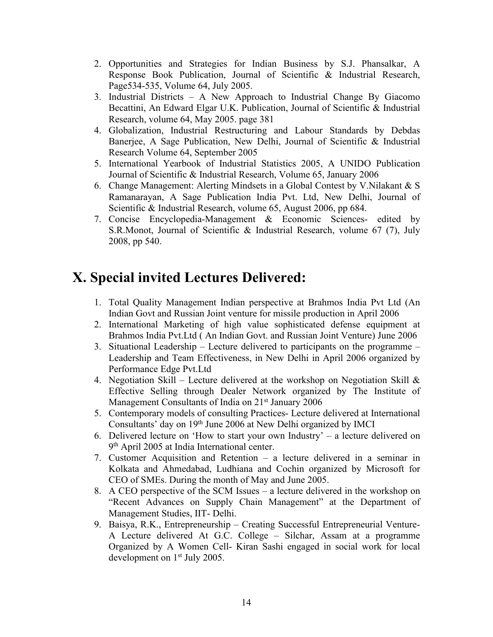- 2. Opportunities and Strategies for Indian Business by S.J. Phansalkar, A Response Book Publication, Journal of Scientific & Industrial Research, Page534-535, Volume 64, July 2005.
- 3. Industrial Districts A New Approach to Industrial Change By Giacomo Becattini, An Edward Elgar U.K. Publication, Journal of Scientific & Industrial Research, volume 64, May 2005. page 381
- 4. Globalization, Industrial Restructuring and Labour Standards by Debdas Banerjee, A Sage Publication, New Delhi, Journal of Scientific & Industrial Research Volume 64, September 2005
- 5. International Yearbook of Industrial Statistics 2005, A UNIDO Publication Journal of Scientific & Industrial Research, Volume 65, January 2006
- 6. Change Management: Alerting Mindsets in a Global Contest by V.Nilakant & S Ramanarayan, A Sage Publication India Pvt.Ltd, New Delhi, Journal of Scientific & Industrial Research, volume 65, August 2006, pp 684.
- 7. Concise Encyclopedia-Management & Economic Sciences- edited by S.R.Monot, Journal of Scientific & Industrial Research, volume 67 (7), July 2008, pp 540.

# **X. Special invited Lectures Delivered:**

- 1. Total Quality Management Indian perspective at Brahmos India Pvt Ltd (An Indian Govt and Russian Joint venture for missile production in April 2006
- 2. International Marketing of high value sophisticated defense equipment at Brahmos India Pvt.Ltd ( An Indian Govt. and Russian Joint Venture) June 2006
- 3. Situational Leadership Lecture delivered to participants on the programme Leadership and Team Effectiveness, in New Delhi in April 2006 organized by Performance Edge Pvt.Ltd
- 4. Negotiation Skill Lecture delivered at the workshop on Negotiation Skill  $\&$ Effective Selling through Dealer Network organized by The Institute of Management Consultants of India on 21<sup>st</sup> January 2006
- 5. Contemporary models of consulting Practices- Lecture delivered at International Consultants' day on 19<sup>th</sup> June 2006 at New Delhi organized by IMCI
- 6. Delivered lecture on 'How to start your own Industry' a lecture delivered on 9 th April 2005 at India International center.
- 7. Customer Acquisition and Retention a lecture delivered in a seminar in Kolkata and Ahmedabad, Ludhiana and Cochin organized by Microsoft for CEO of SMEs. During the month of May and June 2005.
- 8. A CEO perspective of the SCM Issues a lecture delivered in the workshop on "Recent Advances on Supply Chain Management" at the Department of Management Studies, IIT- Delhi.
- 9. Baisya, R.K., Entrepreneurship Creating Successful Entrepreneurial Venture- A Lecture delivered At G.C. College – Silchar, Assam at a programme Organized by A Women Cell- Kiran Sashi engaged in social work for local development on 1 st July 2005.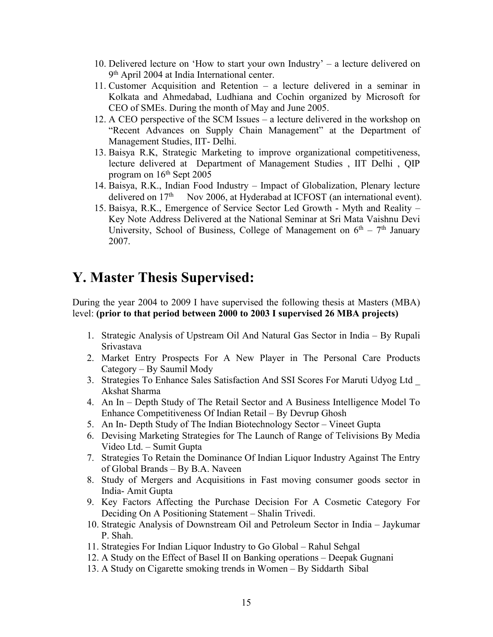- 10. Delivered lecture on 'How to start your own Industry' a lecture delivered on 9 th April 2004 at India International center.
- 11. Customer Acquisition and Retention a lecture delivered in a seminar in Kolkata and Ahmedabad, Ludhiana and Cochin organized by Microsoft for CEO of SMEs. During the month of May and June 2005.
- 12. A CEO perspective of the SCM Issues a lecture delivered in the workshop on "Recent Advances on Supply Chain Management" at the Department of Management Studies, IIT- Delhi.
- 13. Baisya R.K, Strategic Marketing to improve organizational competitiveness, lecture delivered at Department of Management Studies , IIT Delhi , QIP program on  $16<sup>th</sup>$  Sept 2005
- 14. Baisya, R.K., Indian Food Industry Impact of Globalization, Plenary lecture delivered on 17<sup>th</sup> Nov 2006, at Hyderabad at ICFOST (an international event).
- 15. Baisya, R.K., Emergence of Service Sector Led Growth Myth and Reality Key Note Address Delivered at the National Seminar at Sri Mata Vaishnu Devi University, School of Business, College of Management on  $6<sup>th</sup> - 7<sup>th</sup>$  January 2007.

# **Y. Master Thesis Supervised:**

During the year 2004 to 2009 I have supervised the following thesis at Masters (MBA) level: **(prior to that period between 2000 to 2003 I supervised 26 MBA projects)**

- 1. Strategic Analysis of Upstream Oil And Natural Gas Sector in India By Rupali Srivastava
- 2. Market Entry Prospects For A New Player in The Personal Care Products Category – By Saumil Mody
- 3. Strategies To Enhance Sales Satisfaction And SSI Scores For Maruti Udyog Ltd \_ Akshat Sharma
- 4. An In Depth Study of The Retail Sector and A Business Intelligence Model To Enhance Competitiveness Of Indian Retail – By Devrup Ghosh
- 5. An In- Depth Study of The Indian Biotechnology Sector Vineet Gupta
- 6. Devising Marketing Strategies for The Launch of Range of Telivisions By Media Video Ltd. – Sumit Gupta
- 7. Strategies To Retain the Dominance Of Indian Liquor Industry Against The Entry of Global Brands – By B.A. Naveen
- 8. Study of Mergers and Acquisitions in Fast moving consumer goods sector in India- Amit Gupta
- 9. Key Factors Affecting the Purchase Decision For A Cosmetic Category For Deciding On A Positioning Statement– Shalin Trivedi.
- 10. Strategic Analysis of Downstream Oil and Petroleum Sector in India– Jaykumar P. Shah.
- 11. Strategies For Indian Liquor Industry to Go Global Rahul Sehgal
- 12. A Study on the Effect of Basel II on Banking operations Deepak Gugnani
- 13. A Study on Cigarette smoking trends in Women By Siddarth Sibal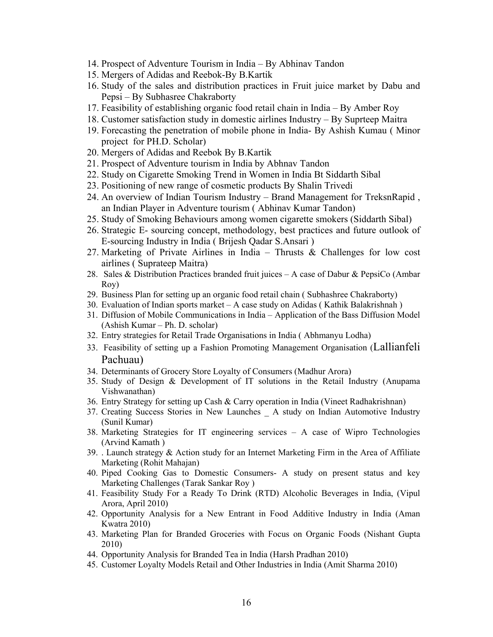- 14. Prospect of Adventure Tourism in India By Abhinav Tandon
- 15. Mergers of Adidas and Reebok-By B.Kartik
- 16. Study of the sales and distribution practices in Fruit juice market by Dabu and Pepsi – By Subhasree Chakraborty
- 17. Feasibility of establishing organic food retail chain in India By Amber Roy
- 18. Customer satisfaction study in domestic airlines Industry By Suprteep Maitra
- 19. Forecasting the penetration of mobile phone in India- By Ashish Kumau ( Minor project for PH.D. Scholar)
- 20. Mergers of Adidas and Reebok By B.Kartik
- 21. Prospect of Adventure tourism in India by Abhnav Tandon
- 22. Study on Cigarette Smoking Trend in Women in India Bt Siddarth Sibal
- 23. Positioning of new range of cosmetic products By Shalin Trivedi
- 24. An overview of Indian Tourism Industry Brand Management for TreksnRapid , an Indian Player in Adventure tourism ( Abhinav Kumar Tandon)
- 25. Study of Smoking Behaviours among women cigarette smokers (Siddarth Sibal)
- 26. Strategic E- sourcing concept, methodology, best practices and future outlook of E-sourcing Industry in India ( Brijesh Qadar S.Ansari )
- 27. Marketing of Private Airlines in India Thrusts & Challenges for low cost airlines ( Suprateep Maitra)
- 28. Sales & Distribution Practices branded fruit juices A case of Dabur & PepsiCo (Ambar Roy)
- 29. Business Plan for setting up an organic food retail chain ( Subhashree Chakraborty)
- 30. Evaluation of Indian sports market  $-A$  case study on Adidas (Kathik Balakrishnah)
- 31. Diffusion of Mobile Communications in India Application of the Bass Diffusion Model (Ashish Kumar – Ph. D. scholar)
- 32. Entry strategies for Retail Trade Organisations in India ( Abhmanyu Lodha)
- 33. Feasibility of setting up a Fashion Promoting Management Organisation (Lallianfeli Pachuau)
- 34. Determinants of Grocery Store Loyalty of Consumers (Madhur Arora)
- 35. Study of Design & Development of IT solutions in the Retail Industry (Anupama Vishwanathan)
- 36. Entry Strategy for setting up Cash & Carry operation in India (Vineet Radhakrishnan)
- 37. Creating Success Stories in New Launches \_ A study on Indian Automotive Industry (Sunil Kumar)
- 38. Marketing Strategies for IT engineering services A case of Wipro Technologies (Arvind Kamath )
- 39. . Launch strategy  $\&$  Action study for an Internet Marketing Firm in the Area of Affiliate Marketing (Rohit Mahajan)
- 40. Piped Cooking Gas to Domestic Consumers- A study on present status and key Marketing Challenges (Tarak Sankar Roy )
- 41. Feasibility Study For a Ready To Drink (RTD) Alcoholic Beverages in India, (Vipul Arora, April 2010)
- 42. Opportunity Analysis for a New Entrant in Food Additive Industry in India (Aman Kwatra 2010)
- 43. Marketing Plan for Branded Groceries with Focus on Organic Foods (Nishant Gupta 2010)
- 44. Opportunity Analysis for Branded Tea in India (Harsh Pradhan 2010)
- 45. Customer Loyalty Models Retail and Other Industries in India (Amit Sharma 2010)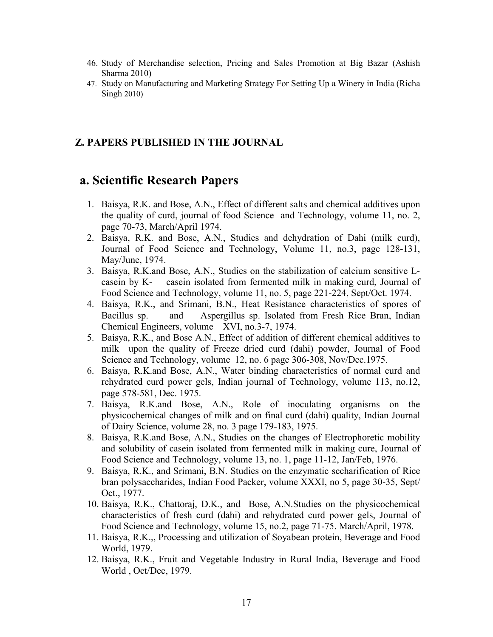- 46. Study of Merchandise selection, Pricing and Sales Promotion at Big Bazar (Ashish Sharma 2010)
- 47. Study on Manufacturing and Marketing Strategy For Setting Up a Winery in India (Richa Singh 2010)

#### **Z. PAPERS PUBLISHED IN THE JOURNAL**

### **a. Scientific Research Papers**

- 1. Baisya, R.K. and Bose, A.N., Effect of different salts and chemical additives upon the quality of curd, journal of food Science and Technology, volume 11, no. 2, page 70-73, March/April 1974.
- 2. Baisya, R.K. and Bose, A.N., Studies and dehydration of Dahi (milk curd), Journal of Food Science and Technology, Volume 11, no.3, page 128-131, May/June, 1974.
- 3. Baisya, R.K.and Bose, A.N., Studies on the stabilization of calcium sensitive L casein by K- casein isolated from fermented milk in making curd, Journal of Food Science and Technology, volume 11, no. 5, page 221-224, Sept/Oct. 1974.
- 4. Baisya, R.K., and Srimani, B.N., Heat Resistance characteristics of spores of Bacillus sp. and Aspergillus sp. Isolated from Fresh Rice Bran, Indian Chemical Engineers, volume XVI, no.3-7, 1974.
- 5. Baisya, R.K., and Bose A.N., Effect of addition of different chemical additives to milk upon the quality of Freeze dried curd (dahi) powder, Journal of Food Science and Technology, volume 12, no. 6 page 306-308, Nov/Dec.1975.
- 6. Baisya, R.K.and Bose, A.N., Water binding characteristics of normal curd and rehydrated curd power gels, Indian journal of Technology, volume 113, no.12, page 578-581, Dec. 1975.
- 7. Baisya, R.K.and Bose, A.N., Role of inoculating organisms on the physicochemical changes of milk and on final curd (dahi) quality, Indian Journal of Dairy Science, volume 28, no. 3 page 179-183, 1975.
- 8. Baisya, R.K.and Bose, A.N., Studies on the changes of Electrophoretic mobility and solubility of casein isolated from fermented milk in making cure, Journal of Food Science and Technology, volume 13, no. 1, page 11-12, Jan/Feb, 1976.
- 9. Baisya, R.K., and Srimani, B.N. Studies on the enzymatic sccharification of Rice bran polysaccharides, Indian Food Packer, volume XXXI, no 5, page 30-35, Sept/ Oct., 1977.
- 10. Baisya, R.K., Chattoraj, D.K., and Bose, A.N.Studies on the physicochemical characteristics of fresh curd (dahi) and rehydrated curd power gels, Journal of Food Science and Technology, volume 15, no.2, page 71-75. March/April, 1978.
- 11. Baisya, R.K.,, Processing and utilization of Soyabean protein, Beverage and Food World, 1979.
- 12. Baisya, R.K., Fruit and Vegetable Industry in Rural India, Beverage and Food World , Oct/Dec, 1979.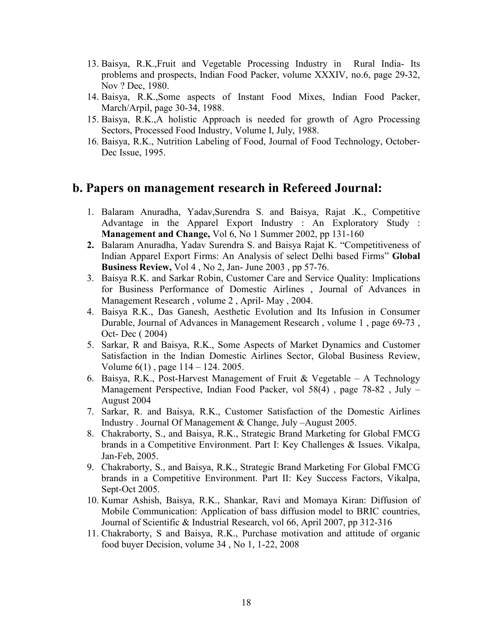- 13. Baisya, R.K.,Fruit and Vegetable Processing Industry in Rural India- Its problems and prospects, Indian Food Packer, volume XXXIV, no.6, page 29-32, Nov ? Dec, 1980.
- 14. Baisya, R.K.,Some aspects of Instant Food Mixes, Indian Food Packer, March/Arpil, page 30-34, 1988.
- 15. Baisya, R.K.,A holistic Approach is needed for growth of Agro Processing Sectors, Processed Food Industry, Volume I, July, 1988.
- 16. Baisya, R.K., Nutrition Labeling of Food, Journal of Food Technology, October- Dec Issue, 1995.

### **b. Papers on management research in Refereed Journal:**

- 1. Balaram Anuradha, Yadav,Surendra S. and Baisya, Rajat .K., Competitive Advantage in the Apparel Export Industry : An Exploratory Study : **Management and Change,** Vol 6, No 1 Summer 2002, pp 131-160
- **2.** Balaram Anuradha, Yadav Surendra S. and Baisya Rajat K. "Competitiveness of Indian Apparel Export Firms: An Analysis of select Delhi based Firms" **Global Business Review,** Vol 4 , No 2, Jan- June 2003 , pp 57-76.
- 3. Baisya R.K. and Sarkar Robin, Customer Care and Service Quality: Implications for Business Performance of Domestic Airlines , Journal of Advances in Management Research , volume 2 , April-May , 2004.
- 4. Baisya R.K., Das Ganesh, Aesthetic Evolution and Its Infusion in Consumer Durable, Journal of Advances in Management Research , volume 1 , page 69-73 , Oct- Dec ( 2004)
- 5. Sarkar, R and Baisya, R.K., Some Aspects of Market Dynamics and Customer Satisfaction in the Indian Domestic Airlines Sector, Global Business Review, Volume 6(1) , page 114 – 124. 2005.
- 6. Baisya, R.K., Post-Harvest Management of Fruit & Vegetable A Technology Management Perspective, Indian Food Packer, vol 58(4) , page 78-82 , July – August 2004
- 7. Sarkar, R. and Baisya, R.K., Customer Satisfaction of the Domestic Airlines Industry . Journal Of Management & Change, July –August 2005.
- 8. Chakraborty, S., and Baisya, R.K., Strategic Brand Marketing for Global FMCG brands in a Competitive Environment. Part I: Key Challenges & Issues. Vikalpa, Jan-Feb, 2005.
- 9. Chakraborty, S., and Baisya, R.K., Strategic Brand Marketing For Global FMCG brands in a Competitive Environment. Part II: Key Success Factors, Vikalpa, Sept-Oct 2005.
- 10. Kumar Ashish, Baisya, R.K., Shankar, Ravi and Momaya Kiran: Diffusion of Mobile Communication: Application of bass diffusion model to BRIC countries, Journal of Scientific & Industrial Research, vol 66, April 2007, pp 312-316
- 11. Chakraborty, S and Baisya, R.K., Purchase motivation and attitude of organic food buyer Decision, volume 34 , No 1, 1-22, 2008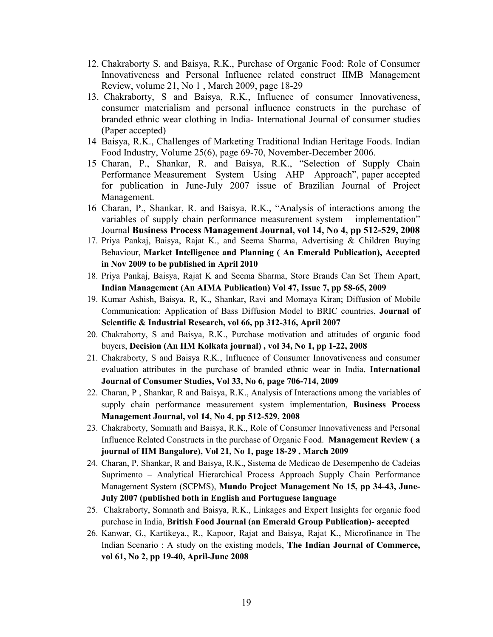- 12. Chakraborty S. and Baisya, R.K., Purchase of Organic Food: Role of Consumer Innovativeness and Personal Influence related construct IIMB Management Review, volume 21, No 1 , March 2009, page 18-29
- 13. Chakraborty, S and Baisya, R.K., Influence of consumer Innovativeness, consumer materialism and personal influence constructs in the purchase of branded ethnic wear clothing in India- International Journal of consumer studies (Paper accepted)
- 14 Baisya, R.K., Challenges of Marketing Traditional Indian Heritage Foods. Indian Food Industry, Volume 25(6), page 69-70, November-December 2006.
- 15 Charan, P., Shankar, R. and Baisya, R.K., "Selection of Supply Chain Performance Measurement System Using AHP Approach", paper accepted for publication in June-July 2007 issue of Brazilian Journal of Project Management.
- 16 Charan, P., Shankar, R. and Baisya, R.K., "Analysis of interactions among the variables of supply chain performance measurement system implementation" Journal **Business Process Management Journal, vol 14, No 4, pp 512-529, 2008**
- 17. Priya Pankaj, Baisya, Rajat K., and Seema Sharma, Advertising & Children Buying **Behaviour, Market Intelligence and Planning (An Emerald Publication), Accepted in Nov 2009 to be published in April 2010**
- 18. Priya Pankaj, Baisya, Rajat K and Seema Sharma, Store Brands Can Set Them Apart, **Indian Management (An AIMA Publication) Vol 47, Issue 7, pp 58-65, 2009**
- 19. Kumar Ashish, Baisya, R, K., Shankar, Ravi and Momaya Kiran; Diffusion of Mobile Communication: Application of Bass Diffusion Model to BRIC countries, **Journal of Scientific & Industrial Research, vol 66, pp 312-316, April 2007**
- 20. Chakraborty, S and Baisya, R.K., Purchase motivation and attitudes of organic food buyers, **Decision (An IIM Kolkata journal) , vol 34, No 1, pp 1-22, 2008**
- 21. Chakraborty, S and Baisya R.K., Influence of Consumer Innovativeness and consumer evaluation attributes in the purchase of branded ethnic wear in India, **International Journal of Consumer Studies,Vol 33, No 6, page 706-714, 2009**
- 22. Charan, P , Shankar, R and Baisya, R.K., Analysis of Interactions among the variables of supply chain performance measurement system implementation, **Business Process Management Journal, vol 14, No 4, pp 512-529, 2008**
- 23. Chakraborty, Somnath and Baisya, R.K., Role of Consumer Innovativeness and Personal Influence Related Constructs in the purchase of Organic Food. **Management Review ( a journal of IIM Bangalore), Vol 21, No 1, page 18-29 , March 2009**
- 24. Charan, P, Shankar, R and Baisya, R.K., Sistema de Medicao de Desempenho de Cadeias Suprimento – Analytical Hierarchical Process Approach Supply Chain Performance Management System (SCPMS), **Mundo Project Management No 15, pp 34-43, June- July 2007 (published both in English and Portuguese language**
- 25. Chakraborty, Somnath and Baisya, R.K., Linkages and Expert Insights for organic food purchase in India, **British Food Journal (an Emerald Group Publication)- accepted**
- 26. Kanwar, G., Kartikeya., R., Kapoor, Rajat and Baisya, Rajat K., Microfinance in The Indian Scenario : A study on the existing models, **The Indian Journal of Commerce, vol 61, No 2, pp 19-40, April-June 2008**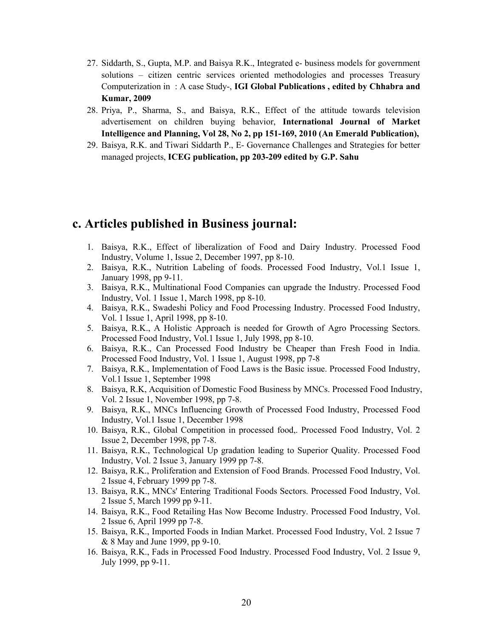- 27. Siddarth, S., Gupta, M.P. and Baisya R.K., Integrated e- business models for government solutions – citizen centric services oriented methodologies and processes Treasury Computerization in : A case Study-, **IGI Global Publications , edited by Chhabra and Kumar, 2009**
- 28. Priya, P., Sharma, S., and Baisya, R.K., Effect of the attitude towards television advertisement on children buying behavior, **International Journal of Market Intelligence and Planning, Vol 28, No 2, pp 151-169, 2010 (An Emerald Publication),**
- 29. Baisya, R.K. and Tiwari Siddarth P., E- Governance Challenges and Strategies for better managed projects, **ICEG publication, pp 203-209 edited by G.P. Sahu**

### **c. Articles published in Business journal:**

- 1. Baisya, R.K., Effect of liberalization of Food and Dairy Industry. Processed Food Industry, Volume 1, Issue 2, December 1997, pp 8-10.
- 2. Baisya, R.K., Nutrition Labeling of foods. Processed Food Industry, Vol.1 Issue 1, January 1998, pp 9-11.
- 3. Baisya, R.K., Multinational Food Companies can upgrade the Industry. Processed Food Industry, Vol. 1 Issue 1, March 1998, pp 8-10.
- 4. Baisya, R.K., Swadeshi Policy and Food Processing Industry. Processed Food Industry, Vol. 1 Issue 1, April 1998, pp 8-10.
- 5. Baisya, R.K., A Holistic Approach is needed for Growth of Agro Processing Sectors. Processed Food Industry, Vol.1 Issue 1, July 1998, pp 8-10.
- 6. Baisya, R.K., Can Processed Food Industry be Cheaper than Fresh Food in India. Processed Food Industry, Vol. 1 Issue 1, August 1998, pp 7-8
- 7. Baisya, R.K., Implementation of Food Laws is the Basic issue. Processed Food Industry, Vol.1 Issue 1, September 1998
- 8. Baisya, R.K, Acquisition of Domestic Food Business by MNCs. Processed Food Industry, Vol. 2 Issue 1, November 1998, pp 7-8.
- 9. Baisya, R.K., MNCs Influencing Growth of Processed Food Industry, Processed Food Industry, Vol.1 Issue 1, December 1998
- 10. Baisya, R.K., Global Competition in processed food,. Processed Food Industry, Vol. 2 Issue 2, December 1998, pp 7-8.
- 11. Baisya, R.K., Technological Up gradation leading to Superior Quality. Processed Food Industry, Vol. 2 Issue 3, January 1999 pp 7-8.
- 12. Baisya, R.K., Proliferation and Extension of Food Brands. Processed Food Industry, Vol. 2 Issue 4, February 1999 pp 7-8.
- 13. Baisya, R.K., MNCs' Entering Traditional Foods Sectors. Processed Food Industry, Vol. 2 Issue 5, March 1999 pp 9-11.
- 14. Baisya, R.K., Food Retailing Has Now Become Industry. Processed Food Industry, Vol. 2 Issue 6, April 1999 pp 7-8.
- 15. Baisya, R.K., Imported Foods in Indian Market. Processed Food Industry, Vol. 2 Issue 7 & 8 May and June 1999, pp 9-10.
- 16. Baisya, R.K., Fads in Processed Food Industry. Processed Food Industry, Vol. 2 Issue 9, July 1999, pp 9-11.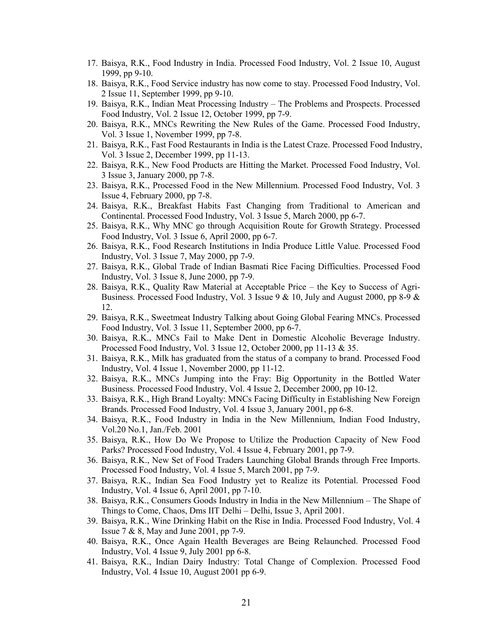- 17. Baisya, R.K., Food Industry in India. Processed Food Industry, Vol. 2 Issue 10, August 1999, pp 9-10.
- 18. Baisya, R.K., Food Service industry has now come to stay. Processed Food Industry, Vol. 2 Issue 11, September 1999, pp 9-10.
- 19. Baisya, R.K., Indian Meat Processing Industry The Problems and Prospects. Processed Food Industry, Vol. 2 Issue 12, October 1999, pp 7-9.
- 20. Baisya, R.K., MNCs Rewriting the New Rules of the Game. Processed Food Industry, Vol. 3 Issue 1, November 1999, pp 7-8.
- 21. Baisya, R.K., Fast Food Restaurants in India is the Latest Craze. Processed Food Industry, Vol. 3 Issue 2, December 1999, pp 11-13.
- 22. Baisya, R.K., New Food Products are Hitting the Market. Processed Food Industry, Vol. 3 Issue 3, January 2000, pp 7-8.
- 23. Baisya, R.K., Processed Food in the New Millennium. Processed Food Industry, Vol. 3 Issue 4, February 2000, pp 7-8.
- 24. Baisya, R.K., Breakfast Habits Fast Changing from Traditional to American and Continental. Processed Food Industry, Vol. 3 Issue 5, March 2000, pp 6-7.
- 25. Baisya, R.K., Why MNC go through Acquisition Route for Growth Strategy. Processed Food Industry, Vol. 3 Issue 6, April 2000, pp 6-7.
- 26. Baisya, R.K., Food Research Institutions in India Produce Little Value. Processed Food Industry, Vol. 3 Issue 7, May 2000, pp 7-9.
- 27. Baisya, R.K., Global Trade of Indian Basmati Rice Facing Difficulties. Processed Food Industry, Vol. 3 Issue 8, June 2000, pp 7-9.
- 28. Baisya, R.K., Quality Raw Material at Acceptable Price the Key to Success of Agri- Business. Processed Food Industry, Vol. 3 Issue  $9 & 10$ , July and August 2000, pp 8-9  $\&$ 12.
- 29. Baisya, R.K., Sweetmeat Industry Talking about Going Global Fearing MNCs. Processed Food Industry, Vol. 3 Issue 11, September 2000, pp 6-7.
- 30. Baisya, R.K., MNCs Fail to Make Dent in Domestic Alcoholic Beverage Industry. Processed Food Industry, Vol. 3 Issue 12, October 2000, pp 11-13 & 35.
- 31. Baisya, R.K., Milk has graduated from the status ofa company to brand. Processed Food Industry, Vol. 4 Issue 1, November 2000, pp 11-12.
- 32. Baisya, R.K., MNCs Jumping into the Fray: Big Opportunity in the Bottled Water Business. Processed Food Industry, Vol. 4 Issue 2, December 2000, pp 10-12.
- 33. Baisya, R.K., High Brand Loyalty: MNCs Facing Difficulty in Establishing New Foreign Brands. Processed Food Industry, Vol. 4 Issue 3, January 2001, pp 6-8.
- 34. Baisya, R.K., Food Industry in India in the New Millennium, Indian Food Industry, Vol.20 No.1, Jan./Feb. 2001
- 35. Baisya, R.K., How Do We Propose to Utilize the Production Capacity of New Food Parks? Processed Food Industry, Vol. 4 Issue 4, February 2001, pp 7-9.
- 36. Baisya, R.K., New Set of Food Traders Launching Global Brands through Free Imports. Processed Food Industry, Vol. 4 Issue 5, March 2001, pp 7-9.
- 37. Baisya, R.K., Indian Sea Food Industry yet to Realize its Potential. Processed Food Industry, Vol. 4 Issue 6, April 2001, pp 7-10.
- 38. Baisya, R.K., Consumers Goods Industry in India in the New Millennium The Shape of Things to Come, Chaos, Dms IIT Delhi – Delhi, Issue 3, April 2001.
- 39. Baisya, R.K., Wine Drinking Habit on the Rise in India. Processed Food Industry, Vol. 4 Issue 7 & 8, May and June 2001, pp 7-9.
- 40. Baisya, R.K., Once Again Health Beverages are Being Relaunched. Processed Food Industry, Vol. 4 Issue 9, July 2001 pp 6-8.
- 41. Baisya, R.K., Indian Dairy Industry: Total Change of Complexion. Processed Food Industry, Vol. 4 Issue 10, August 2001 pp 6-9.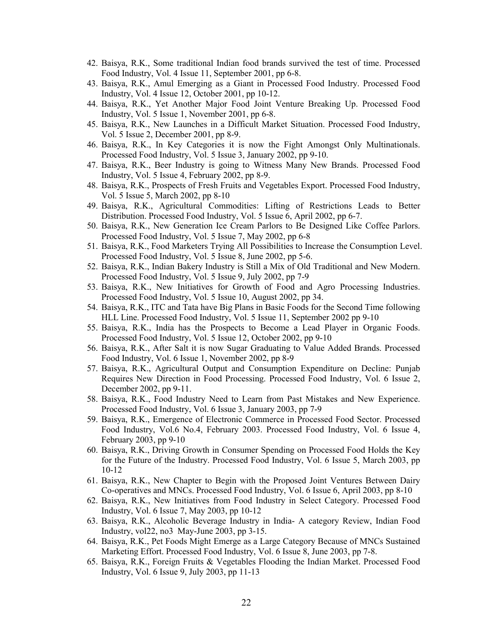- 42. Baisya, R.K., Some traditional Indian food brands survived the test of time. Processed Food Industry, Vol. 4 Issue 11, September 2001, pp 6-8.
- 43. Baisya, R.K., Amul Emerging as a Giant in Processed Food Industry. Processed Food Industry, Vol. 4 Issue 12, October 2001, pp 10-12.
- 44. Baisya, R.K., Yet Another Major Food Joint Venture Breaking Up. Processed Food Industry, Vol. 5 Issue 1, November 2001, pp 6-8.
- 45. Baisya, R.K., New Launches in a Difficult Market Situation. Processed Food Industry, Vol. 5 Issue 2, December 2001, pp 8-9.
- 46. Baisya, R.K., In Key Categories it is now the Fight AmongstOnly Multinationals. Processed Food Industry, Vol. 5 Issue 3, January 2002, pp 9-10.
- 47. Baisya, R.K., Beer Industry is going to Witness Many New Brands. Processed Food Industry, Vol. 5 Issue 4, February 2002, pp 8-9.
- 48. Baisya, R.K., Prospects of Fresh Fruits and Vegetables Export. Processed Food Industry, Vol. 5 Issue 5, March 2002, pp 8-10
- 49. Baisya, R.K., Agricultural Commodities: Lifting of Restrictions Leads to Better Distribution. Processed Food Industry, Vol. 5 Issue 6, April 2002, pp 6-7.
- 50. Baisya, R.K., New Generation Ice Cream Parlors to Be Designed Like Coffee Parlors. Processed Food Industry, Vol. 5 Issue 7, May 2002, pp 6-8
- 51. Baisya, R.K., Food Marketers Trying All Possibilities to Increase the Consumption Level. Processed Food Industry, Vol. 5 Issue 8, June 2002, pp 5-6.
- 52. Baisya, R.K., Indian Bakery Industry is Still a Mix of Old Traditional and New Modern. Processed Food Industry, Vol. 5 Issue 9, July 2002, pp 7-9
- 53. Baisya, R.K., New Initiatives for Growth of Food and Agro Processing Industries. Processed Food Industry, Vol. 5 Issue 10, August 2002, pp 34.
- 54. Baisya, R.K., ITC and Tata have Big Plans in Basic Foods for the Second Time following HLL Line. Processed Food Industry, Vol. 5 Issue 11, September 2002 pp 9-10
- 55. Baisya, R.K., India has the Prospects to Become a Lead Player in Organic Foods. Processed Food Industry, Vol. 5 Issue 12, October 2002, pp 9-10
- 56. Baisya, R.K., After Salt it is now Sugar Graduating to Value Added Brands. Processed Food Industry, Vol. 6 Issue 1, November 2002, pp 8-9
- 57. Baisya, R.K., Agricultural Output and Consumption Expenditure on Decline: Punjab Requires New Direction in Food Processing. Processed Food Industry, Vol. 6 Issue 2, December 2002, pp 9-11.
- 58. Baisya, R.K., Food Industry Need to Learn from Past Mistakes and New Experience. Processed Food Industry, Vol. 6 Issue 3, January 2003, pp 7-9
- 59. Baisya, R.K., Emergence of Electronic Commerce in Processed Food Sector. Processed Food Industry, Vol.6 No.4, February 2003. Processed Food Industry, Vol. 6 Issue 4, February 2003, pp 9-10
- 60. Baisya, R.K., Driving Growth in Consumer Spending on Processed Food Holds the Key for the Future of the Industry. Processed Food Industry, Vol. 6 Issue 5, March 2003, pp 10-12
- 61. Baisya, R.K., New Chapter to Begin with the Proposed Joint Ventures Between Dairy Co-operatives and MNCs. Processed Food Industry, Vol. 6 Issue 6, April 2003, pp 8-10
- 62. Baisya, R.K., New Initiatives from Food Industry in Select Category. Processed Food Industry, Vol. 6 Issue 7, May 2003, pp 10-12
- 63. Baisya, R.K., Alcoholic Beverage Industry in India- A category Review, Indian Food Industry, vol22, no3 May-June 2003, pp 3-15.
- 64. Baisya, R.K., Pet Foods Might Emerge as a Large Category Because of MNCs Sustained Marketing Effort. Processed Food Industry, Vol. 6 Issue 8, June 2003, pp 7-8.
- 65. Baisya, R.K., Foreign Fruits & Vegetables Flooding the Indian Market. Processed Food Industry, Vol. 6 Issue 9, July 2003, pp 11-13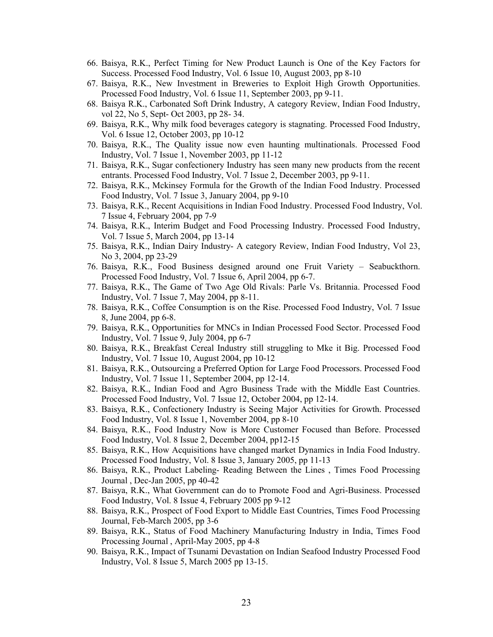- 66. Baisya, R.K., Perfect Timing for New Product Launch is One of the Key Factors for Success. Processed Food Industry, Vol. 6 Issue 10, August 2003, pp 8-10
- 67. Baisya, R.K., New Investment in Breweries to Exploit High Growth Opportunities. Processed Food Industry, Vol. 6 Issue 11, September 2003, pp 9-11.
- 68. Baisya R.K., Carbonated Soft Drink Industry, A category Review, Indian Food Industry, vol 22, No 5, Sept- Oct 2003, pp 28- 34.
- 69. Baisya, R.K., Why milk food beverages category is stagnating. Processed Food Industry, Vol. 6 Issue 12, October 2003, pp 10-12
- 70. Baisya, R.K., The Quality issue now even haunting multinationals. Processed Food Industry, Vol. 7 Issue 1, November 2003, pp 11-12
- 71. Baisya, R.K., Sugar confectionery Industry has seen many new products from the recent entrants. Processed Food Industry, Vol. 7 Issue 2, December 2003, pp 9-11.
- 72. Baisya, R.K., Mckinsey Formula for the Growth of the Indian Food Industry. Processed Food Industry, Vol. 7 Issue 3, January 2004, pp 9-10
- 73. Baisya, R.K., Recent Acquisitions in Indian Food Industry. Processed Food Industry, Vol. 7 Issue 4, February 2004, pp 7-9
- 74. Baisya, R.K., Interim Budget and Food Processing Industry. Processed Food Industry, Vol. 7 Issue 5, March 2004, pp 13-14
- 75. Baisya, R.K., Indian Dairy Industry- A category Review, Indian Food Industry, Vol 23, No 3, 2004, pp 23-29
- 76. Baisya, R.K., Food Business designed around one Fruit Variety Seabuckthorn. Processed Food Industry, Vol. 7 Issue 6, April 2004, pp 6-7.
- 77. Baisya, R.K., The Game of Two Age Old Rivals: Parle Vs. Britannia. Processed Food Industry, Vol. 7 Issue 7, May 2004, pp 8-11.
- 78. Baisya, R.K., Coffee Consumption is on the Rise. Processed Food Industry, Vol. 7 Issue 8, June 2004, pp 6-8.
- 79. Baisya, R.K., Opportunities for MNCs in Indian Processed Food Sector. Processed Food Industry, Vol. 7 Issue 9, July 2004, pp 6-7
- 80. Baisya, R.K., Breakfast Cereal Industry still struggling to Mke it Big. Processed Food Industry, Vol. 7 Issue 10, August 2004, pp 10-12
- 81. Baisya, R.K., Outsourcing a Preferred Option for Large Food Processors. Processed Food Industry, Vol. 7 Issue 11, September 2004, pp 12-14.
- 82. Baisya, R.K., Indian Food and Agro Business Trade with the Middle East Countries. Processed Food Industry, Vol. 7 Issue 12, October 2004, pp 12-14.
- 83. Baisya, R.K., Confectionery Industry is Seeing Major Activities for Growth. Processed Food Industry, Vol. 8 Issue 1, November 2004, pp 8-10
- 84. Baisya, R.K., Food Industry Now is More Customer Focused than Before. Processed Food Industry, Vol. 8 Issue 2, December 2004, pp12-15
- 85. Baisya, R.K., How Acquisitions have changed market Dynamics in India Food Industry. Processed Food Industry, Vol. 8 Issue 3, January 2005, pp 11-13
- 86. Baisya, R.K., Product Labeling- Reading Between the Lines , Times Food Processing Journal , Dec-Jan 2005, pp 40-42
- 87. Baisya, R.K., What Government can do to Promote Food and Agri-Business. Processed Food Industry, Vol. 8 Issue 4, February 2005 pp 9-12
- 88. Baisya, R.K., Prospect of Food Export to Middle East Countries, Times Food Processing Journal, Feb-March 2005, pp 3-6
- 89. Baisya, R.K., Status of Food Machinery Manufacturing Industry in India, Times Food Processing Journal, April-May 2005, pp 4-8
- 90. Baisya, R.K., Impact of Tsunami Devastation on Indian Seafood Industry Processed Food Industry, Vol. 8 Issue 5, March 2005 pp 13-15.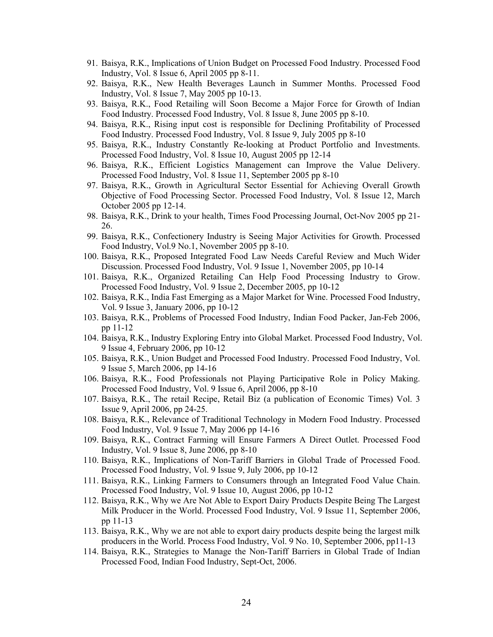- 91. Baisya, R.K., Implications of Union Budget on Processed Food Industry. Processed Food Industry, Vol. 8 Issue 6, April 2005 pp 8-11.
- 92. Baisya, R.K., New Health Beverages Launch in Summer Months. Processed Food Industry, Vol. 8 Issue 7, May 2005 pp 10-13.
- 93. Baisya, R.K., Food Retailing will Soon Become a Major Force for Growth of Indian Food Industry. Processed Food Industry, Vol. 8 Issue 8, June 2005 pp 8-10.
- 94. Baisya, R.K., Rising input cost is responsible for Declining Profitability of Processed Food Industry. Processed Food Industry, Vol. 8 Issue 9, July 2005 pp 8-10
- 95. Baisya, R.K., Industry Constantly Re-looking at Product Portfolio and Investments. Processed Food Industry, Vol. 8 Issue 10, August 2005 pp 12-14
- 96. Baisya, R.K., Efficient Logistics Management can Improve the Value Delivery. Processed Food Industry, Vol. 8 Issue 11, September 2005 pp 8-10
- 97. Baisya, R.K., Growth in Agricultural Sector Essential for Achieving Overall Growth Objective of Food Processing Sector. Processed Food Industry, Vol. 8 Issue 12, March October 2005 pp 12-14.
- 98. Baisya, R.K., Drink to your health, Times Food Processing Journal, Oct-Nov 2005 pp 21- 26.
- 99. Baisya, R.K., Confectionery Industry is Seeing Major Activities for Growth. Processed Food Industry, Vol.9 No.1, November 2005 pp 8-10.
- 100. Baisya, R.K., Proposed Integrated Food Law Needs Careful Review and Much Wider Discussion. Processed Food Industry, Vol. 9 Issue 1, November 2005, pp 10-14
- 101. Baisya, R.K., Organized Retailing Can Help Food Processing Industry to Grow. Processed Food Industry, Vol. 9 Issue 2, December 2005, pp 10-12
- 102. Baisya, R.K., India Fast Emerging as a Major Market for Wine. Processed Food Industry, Vol. 9 Issue 3, January 2006, pp 10-12
- 103. Baisya, R.K., Problems of Processed Food Industry, Indian Food Packer, Jan-Feb 2006, pp 11-12
- 104. Baisya, R.K., Industry Exploring Entry into Global Market. Processed Food Industry, Vol. 9 Issue 4, February 2006, pp 10-12
- 105. Baisya, R.K., Union Budget and Processed Food Industry. Processed Food Industry, Vol. 9 Issue 5, March 2006, pp 14-16
- 106. Baisya, R.K., Food Professionals not Playing Participative Role in Policy Making. Processed Food Industry, Vol. 9 Issue 6, April 2006, pp 8-10
- 107. Baisya, R.K., The retail Recipe, Retail Biz (a publication of Economic Times) Vol. 3 Issue 9, April 2006, pp 24-25.
- 108. Baisya, R.K., Relevance of Traditional Technology in Modern Food Industry. Processed Food Industry, Vol. 9 Issue 7, May 2006 pp 14-16
- 109. Baisya, R.K., Contract Farming will Ensure Farmers A Direct Outlet. Processed Food Industry, Vol. 9 Issue 8, June 2006, pp 8-10
- 110. Baisya, R.K., Implications of Non-Tariff Barriers in Global Trade of Processed Food. Processed Food Industry, Vol. 9 Issue 9, July 2006, pp 10-12
- 111. Baisya, R.K., Linking Farmers to Consumers through an Integrated Food Value Chain. Processed Food Industry, Vol. 9 Issue 10, August 2006, pp 10-12
- 112. Baisya, R.K., Why we Are Not Able to Export Dairy Products Despite Being The Largest Milk Producer in the World. Processed Food Industry, Vol. 9 Issue 11, September 2006, pp 11-13
- 113. Baisya, R.K., Why we are not able to export dairy products despite being the largest milk producers in the World. Process Food Industry, Vol. 9 No. 10, September 2006, pp11-13
- 114. Baisya, R.K., Strategies to Manage the Non-Tariff Barriers in Global Trade of Indian Processed Food, Indian Food Industry, Sept-Oct, 2006.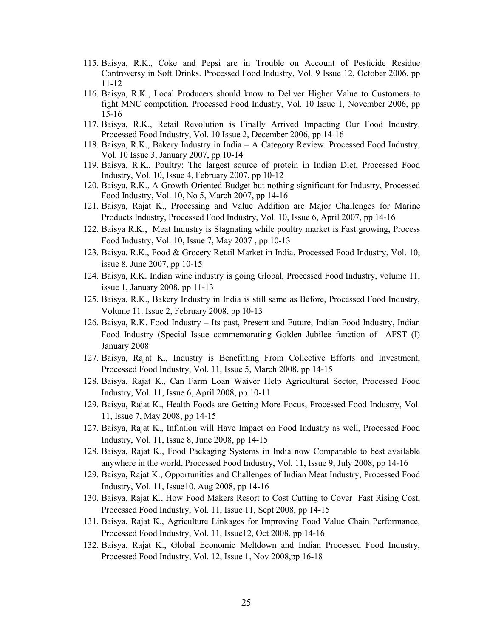- 115. Baisya, R.K., Coke and Pepsi are in Trouble on Account of Pesticide Residue Controversy in Soft Drinks. Processed Food Industry, Vol. 9 Issue 12, October 2006, pp 11-12
- 116. Baisya, R.K., Local Producers should know to Deliver Higher Value to Customers to fight MNC competition. Processed Food Industry, Vol. 10 Issue 1, November 2006, pp 15-16
- 117. Baisya, R.K., Retail Revolution is Finally Arrived Impacting Our Food Industry. Processed Food Industry, Vol. 10 Issue 2, December 2006, pp 14-16
- 118. Baisya, R.K., Bakery Industry in India A Category Review. Processed Food Industry, Vol. 10 Issue 3, January 2007, pp 10-14
- 119. Baisya, R.K., Poultry: The largest source of protein in Indian Diet, Processed Food Industry, Vol. 10, Issue 4, February 2007, pp 10-12
- 120. Baisya, R.K., A Growth Oriented Budget but nothing significant for Industry, Processed Food Industry, Vol. 10, No 5, March 2007, pp 14-16
- 121. Baisya, Rajat K., Processing and Value Addition are Major Challenges for Marine Products Industry, Processed Food Industry, Vol. 10, Issue 6, April 2007, pp 14-16
- 122. Baisya R.K., Meat Industry is Stagnating while poultry market is Fast growing, Process Food Industry, Vol. 10, Issue 7, May 2007 , pp 10-13
- 123. Baisya. R.K., Food & Grocery Retail Market in India, Processed Food Industry, Vol. 10, issue 8, June 2007, pp 10-15
- 124. Baisya, R.K. Indian wine industry is going Global, Processed Food Industry, volume 11, issue 1, January 2008, pp 11-13
- 125. Baisya, R.K., Bakery Industry in India is still same as Before, Processed Food Industry, Volume 11. Issue 2, February 2008, pp 10-13
- 126. Baisya, R.K. Food Industry Its past, Present and Future, Indian Food Industry, Indian Food Industry (Special Issue commemorating Golden Jubilee function of AFST (I) January 2008
- 127. Baisya, Rajat K., Industry is Benefitting From Collective Efforts and Investment, Processed Food Industry, Vol. 11, Issue 5, March 2008, pp 14-15
- 128. Baisya, Rajat K., Can Farm Loan Waiver Help Agricultural Sector, Processed Food Industry, Vol. 11, Issue 6, April 2008, pp 10-11
- 129. Baisya, Rajat K., Health Foods are Getting More Focus, Processed Food Industry, Vol. 11, Issue 7, May 2008, pp 14-15
- 127. Baisya, Rajat K., Inflation will Have Impact on Food Industry as well, Processed Food Industry, Vol. 11, Issue 8, June 2008, pp 14-15
- 128. Baisya, Rajat K., Food Packaging Systems in India now Comparable to best available anywhere in the world, Processed Food Industry, Vol. 11, Issue 9, July 2008, pp 14-16
- 129. Baisya, Rajat K., Opportunities and Challenges of Indian Meat Industry, Processed Food Industry, Vol. 11, Issue10, Aug 2008, pp 14-16
- 130. Baisya, Rajat K., How Food Makers Resort to Cost Cutting to Cover Fast Rising Cost, Processed Food Industry, Vol. 11, Issue 11, Sept 2008, pp 14-15
- 131. Baisya, Rajat K., Agriculture Linkages for Improving Food Value Chain Performance, Processed Food Industry, Vol. 11, Issue12, Oct 2008, pp 14-16
- 132. Baisya, Rajat K., Global Economic Meltdown and Indian Processed Food Industry, Processed Food Industry, Vol. 12, Issue 1, Nov 2008,pp 16-18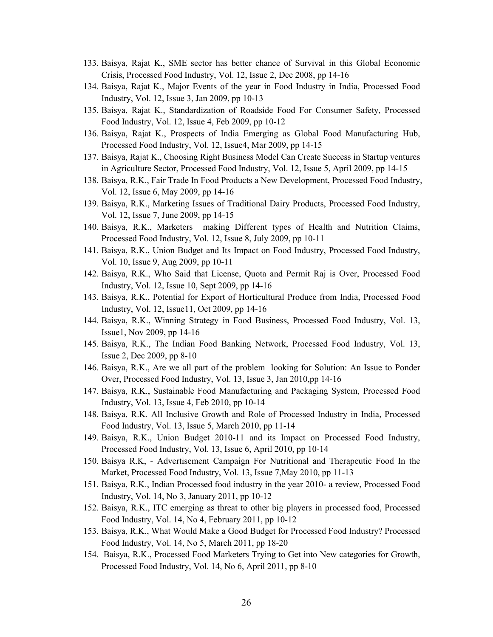- 133. Baisya, Rajat K., SME sector has better chance of Survival in this Global Economic Crisis, Processed Food Industry, Vol. 12, Issue 2, Dec 2008, pp 14-16
- 134. Baisya, Rajat K., Major Events of the year in Food Industry in India, Processed Food Industry, Vol. 12, Issue 3, Jan 2009, pp 10-13
- 135. Baisya, Rajat K., Standardization of Roadside Food For Consumer Safety, Processed Food Industry, Vol. 12, Issue 4, Feb 2009, pp 10-12
- 136. Baisya, Rajat K., Prospects of India Emerging as Global Food Manufacturing Hub, Processed Food Industry, Vol. 12, Issue4, Mar 2009, pp 14-15
- 137. Baisya, Rajat K., Choosing Right Business Model Can Create Success in Startup ventures in Agriculture Sector, Processed Food Industry, Vol. 12, Issue 5, April 2009, pp 14-15
- 138. Baisya, R.K., Fair Trade In Food Products a New Development, Processed Food Industry, Vol. 12, Issue 6, May 2009, pp 14-16
- 139. Baisya, R.K., Marketing Issues of Traditional Dairy Products, Processed Food Industry, Vol. 12, Issue 7, June 2009, pp 14-15
- 140. Baisya, R.K., Marketers making Different types of Health and Nutrition Claims, Processed Food Industry, Vol. 12, Issue 8, July 2009, pp 10-11
- 141. Baisya, R.K., Union Budget and Its Impact on Food Industry, Processed Food Industry, Vol. 10, Issue 9, Aug 2009, pp 10-11
- 142. Baisya, R.K., Who Said that License, Quota and Permit Raj is Over, Processed Food Industry, Vol. 12, Issue 10, Sept 2009, pp 14-16
- 143. Baisya, R.K., Potential for Export of Horticultural Produce from India, Processed Food Industry, Vol. 12, Issue11, Oct 2009, pp 14-16
- 144. Baisya, R.K., Winning Strategy in Food Business, Processed Food Industry, Vol. 13, Issue1, Nov 2009, pp 14-16
- 145. Baisya, R.K., The Indian Food Banking Network, Processed Food Industry, Vol. 13, Issue 2, Dec 2009, pp 8-10
- 146. Baisya, R.K., Are we all part of the problem looking for Solution: An Issue to Ponder Over, Processed Food Industry, Vol. 13, Issue 3, Jan 2010,pp 14-16
- 147. Baisya, R.K., Sustainable Food Manufacturing and Packaging System, Processed Food Industry, Vol. 13, Issue 4, Feb 2010, pp 10-14
- 148. Baisya, R.K. All Inclusive Growth and Role of Processed Industry in India, Processed Food Industry, Vol. 13, Issue 5, March 2010, pp 11-14
- 149. Baisya, R.K., Union Budget 2010-11 and its Impact on Processed Food Industry, Processed Food Industry, Vol. 13, Issue 6, April 2010, pp 10-14
- 150. Baisya R.K, Advertisement Campaign For Nutritional and Therapeutic Food In the Market, Processed Food Industry, Vol. 13, Issue 7,May 2010, pp 11-13
- 151. Baisya, R.K., Indian Processed food industry in the year 2010- a review, Processed Food Industry, Vol. 14, No 3, January 2011, pp 10-12
- 152. Baisya, R.K., ITC emerging asthreat to other big players in processed food, Processed Food Industry, Vol. 14, No 4, February 2011, pp 10-12
- 153. Baisya, R.K., What Would Make a Good Budget for Processed Food Industry? Processed Food Industry, Vol. 14, No 5, March 2011, pp 18-20
- 154. Baisya, R.K., Processed Food Marketers Trying to Get into New categories for Growth, Processed Food Industry, Vol. 14, No 6, April 2011, pp 8-10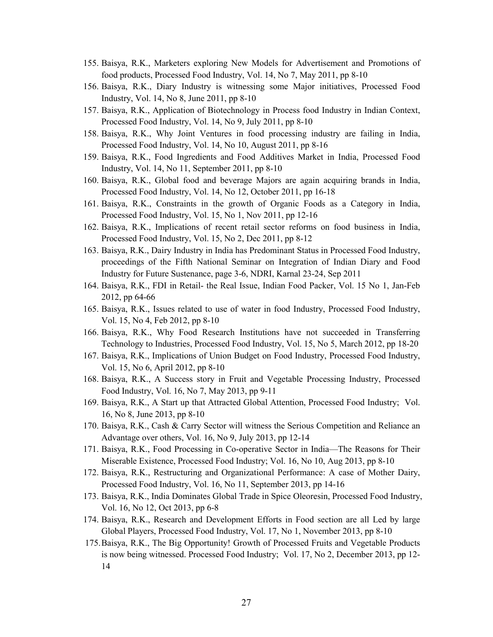- 155. Baisya, R.K., Marketers exploring New Models for Advertisement and Promotions of food products, Processed Food Industry, Vol. 14, No 7, May 2011, pp 8-10
- 156. Baisya, R.K., Diary Industry is witnessing some Major initiatives, Processed Food Industry, Vol. 14, No 8, June 2011, pp 8-10
- 157. Baisya, R.K., Application of Biotechnology in Process food Industry in Indian Context, Processed Food Industry, Vol. 14, No 9, July 2011, pp 8-10
- 158. Baisya, R.K., Why Joint Ventures in food processing industry are failing in India, Processed Food Industry, Vol. 14, No 10, August 2011, pp 8-16
- 159. Baisya, R.K., Food Ingredients and Food Additives Market in India, Processed Food Industry, Vol. 14, No 11, September 2011, pp 8-10
- 160. Baisya, R.K., Global food and beverage Majors are again acquiring brands in India, Processed Food Industry, Vol. 14, No 12, October 2011, pp 16-18
- 161. Baisya, R.K., Constraints in the growth of Organic Foods as a Category in India, Processed Food Industry, Vol. 15, No 1, Nov 2011, pp 12-16
- 162. Baisya, R.K., Implications of recent retail sector reforms on food business in India, Processed Food Industry, Vol. 15, No 2, Dec 2011, pp 8-12
- 163. Baisya, R.K., Dairy Industry in India has Predominant Status in Processed Food Industry, proceedings of the Fifth National Seminar on Integration of Indian Diary and Food Industry for Future Sustenance, page 3-6, NDRI, Karnal 23-24, Sep 2011
- 164. Baisya, R.K., FDI in Retail- the Real Issue, Indian Food Packer, Vol. 15 No 1, Jan-Feb 2012, pp 64-66
- 165. Baisya, R.K., Issues related to use of water in food Industry, Processed Food Industry, Vol. 15, No 4, Feb 2012, pp 8-10
- 166. Baisya, R.K., Why Food Research Institutions have not succeeded in Transferring Technology to Industries, Processed Food Industry, Vol. 15, No 5, March 2012, pp 18-20
- 167. Baisya, R.K., Implications of Union Budget on Food Industry, Processed Food Industry, Vol. 15, No 6, April 2012, pp 8-10
- 168. Baisya, R.K., A Success story in Fruit and Vegetable Processing Industry, Processed Food Industry, Vol. 16, No 7, May 2013, pp 9-11
- 169. Baisya, R.K., A Start up that Attracted Global Attention, Processed Food Industry; Vol. 16, No 8, June 2013, pp 8-10
- 170. Baisya, R.K., Cash & Carry Sector will witness the Serious Competition and Reliance an Advantage over others, Vol. 16, No 9, July 2013, pp 12-14
- 171. Baisya, R.K., Food Processing in Co-operative Sector in India—The Reasons for Their Miserable Existence, Processed Food Industry; Vol. 16, No 10, Aug 2013, pp 8-10
- 172. Baisya, R.K., Restructuring and Organizational Performance: A case of Mother Dairy, Processed Food Industry, Vol. 16, No 11, September 2013, pp 14-16
- 173. Baisya, R.K., India Dominates Global Trade in Spice Oleoresin, Processed Food Industry, Vol. 16, No 12, Oct 2013, pp 6-8
- 174. Baisya, R.K., Research and Development Efforts in Food section are all Led by large Global Players, Processed Food Industry, Vol. 17, No 1, November 2013, pp 8-10
- 175.Baisya, R.K., The Big Opportunity! Growth of Processed Fruits and Vegetable Products is now being witnessed. Processed Food Industry; Vol. 17, No 2, December 2013, pp 12- 14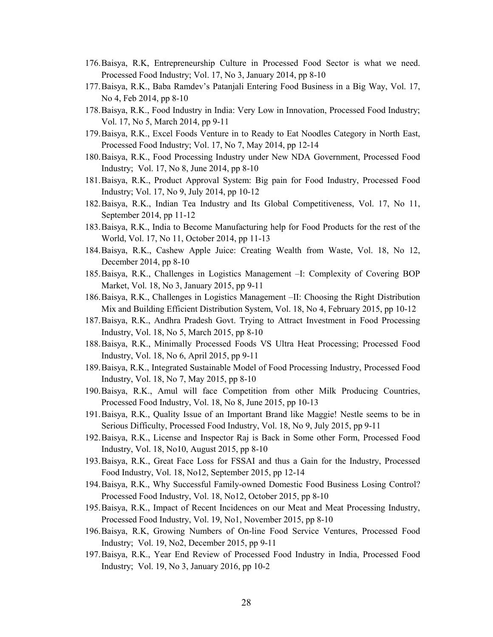- 176.Baisya, R.K, Entrepreneurship Culture in Processed Food Sector is what we need. Processed Food Industry; Vol. 17, No 3, January 2014, pp 8-10
- 177.Baisya, R.K., Baba Ramdev's Patanjali Entering Food Business in a Big Way, Vol. 17, No 4, Feb 2014, pp 8-10
- 178.Baisya, R.K., Food Industry in India: Very Low in Innovation, Processed Food Industry; Vol. 17, No 5, March 2014, pp 9-11
- 179.Baisya, R.K., Excel Foods Venture in to Ready to Eat Noodles Category in North East, Processed Food Industry; Vol. 17, No 7, May 2014, pp 12-14
- 180.Baisya, R.K., Food Processing Industry under New NDA Government, Processed Food Industry; Vol. 17, No 8, June 2014, pp 8-10
- 181.Baisya, R.K., Product Approval System: Big pain for Food Industry, Processed Food Industry; Vol. 17, No 9, July 2014, pp 10-12
- 182.Baisya, R.K., Indian Tea Industry and Its Global Competitiveness, Vol. 17, No 11, September 2014, pp 11-12
- 183.Baisya, R.K., India to Become Manufacturing help for Food Products for the rest of the World, Vol. 17, No 11, October 2014, pp 11-13
- 184.Baisya, R.K., Cashew Apple Juice: Creating Wealth from Waste, Vol. 18, No 12, December 2014, pp 8-10
- 185.Baisya, R.K., Challenges in Logistics Management –I: Complexity of Covering BOP Market, Vol. 18, No 3, January 2015, pp 9-11
- 186.Baisya, R.K., Challenges in Logistics Management –II: Choosing the Right Distribution Mix and Building Efficient Distribution System, Vol. 18, No 4, February 2015, pp 10-12
- 187.Baisya, R.K., Andhra Pradesh Govt. Trying to Attract Investment in Food Processing Industry, Vol. 18, No 5, March 2015, pp 8-10
- 188.Baisya, R.K., Minimally Processed Foods VS Ultra Heat Processing; Processed Food Industry, Vol. 18, No 6, April 2015, pp 9-11
- 189.Baisya, R.K., Integrated Sustainable Model of Food Processing Industry, Processed Food Industry, Vol. 18, No 7, May 2015, pp 8-10
- 190. Baisya, R.K., Amul will face Competition from other Milk Producing Countries, Processed Food Industry, Vol. 18, No 8, June 2015, pp 10-13
- 191.Baisya, R.K., Quality Issue of an Important Brand like Maggie! Nestle seems to be in Serious Difficulty, Processed Food Industry, Vol. 18, No 9, July 2015, pp 9-11
- 192.Baisya, R.K., License and Inspector Raj is Back in Some other Form, Processed Food Industry, Vol. 18, No10, August 2015, pp 8-10
- 193.Baisya, R.K., Great Face Loss for FSSAI and thusa Gain for the Industry, Processed Food Industry, Vol. 18, No12, September 2015, pp 12-14
- 194.Baisya, R.K., Why Successful Family-owned Domestic Food Business Losing Control? Processed Food Industry, Vol. 18, No12, October 2015, pp 8-10
- 195.Baisya, R.K., Impact of Recent Incidences on our Meat and Meat Processing Industry, Processed Food Industry, Vol. 19, No1, November 2015, pp 8-10
- 196.Baisya, R.K, Growing Numbers of On-line Food Service Ventures, Processed Food Industry; Vol. 19, No2, December 2015, pp 9-11
- 197.Baisya, R.K., Year End Review of Processed Food Industry in India, Processed Food Industry; Vol. 19, No 3, January 2016, pp 10-2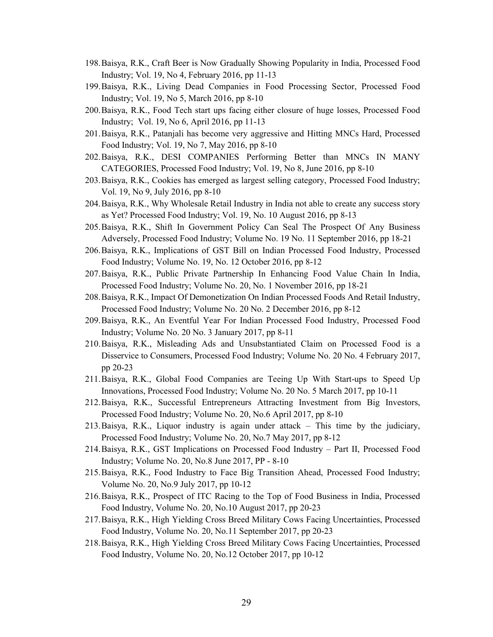- 198.Baisya, R.K., Craft Beer is Now GraduallyShowing Popularity in India, Processed Food Industry; Vol. 19, No 4, February 2016, pp 11-13
- 199.Baisya, R.K., Living Dead Companies in Food Processing Sector, Processed Food Industry; Vol. 19, No 5, March 2016, pp 8-10
- 200.Baisya, R.K., Food Tech start ups facing either closure of huge losses, Processed Food Industry; Vol. 19, No 6, April 2016, pp 11-13
- 201. Baisya, R.K., Patanjali has become very aggressive and Hitting MNCs Hard, Processed Food Industry; Vol. 19, No 7, May 2016, pp 8-10
- 202.Baisya, R.K., DESI COMPANIES Performing Better than MNCs IN MANY CATEGORIES, Processed Food Industry; Vol. 19, No 8, June 2016, pp 8-10
- 203.Baisya, R.K., Cookies has emerged as largest selling category, Processed Food Industry; Vol. 19, No 9, July 2016, pp 8-10
- 204.Baisya, R.K., Why Wholesale Retail Industry in India not able to create any success story as Yet? Processed Food Industry; Vol. 19, No. 10 August 2016, pp 8-13
- 205.Baisya, R.K., Shift In Government Policy Can Seal The Prospect Of Any Business Adversely, Processed Food Industry; Volume No. 19 No. 11 September 2016, pp 18-21
- 206.Baisya, R.K., Implications of GST Bill on Indian Processed Food Industry, Processed Food Industry; Volume No. 19, No. 12 October 2016, pp 8-12
- 207.Baisya, R.K., Public Private Partnership In Enhancing Food Value Chain In India, Processed Food Industry; Volume No. 20, No. 1 November 2016, pp 18-21
- 208.Baisya, R.K., Impact Of Demonetization On Indian Processed Foods And Retail Industry, Processed Food Industry; Volume No. 20 No. 2 December 2016, pp 8-12
- 209.Baisya, R.K., An Eventful Year For Indian Processed Food Industry, Processed Food Industry; Volume No. 20 No. 3 January 2017, pp 8-11
- 210.Baisya, R.K., Misleading Ads and Unsubstantiated Claim on Processed Food is a Disservice to Consumers, Processed Food Industry; Volume No. 20 No. 4 February 2017, pp 20-23
- 211.Baisya, R.K., Global Food Companies are Teeing Up With Start-ups to Speed Up Innovations, Processed Food Industry; Volume No. 20 No. 5 March 2017, pp 10-11
- 212.Baisya, R.K., Successful Entrepreneurs Attracting Investment from Big Investors, Processed Food Industry; Volume No. 20, No.6 April 2017, pp 8-10
- 213.Baisya, R.K., Liquor industry is again under attack This time by the judiciary, Processed Food Industry; Volume No. 20, No.7 May 2017, pp 8-12
- 214.Baisya, R.K., GST Implications on Processed Food Industry Part II, Processed Food Industry; Volume No. 20, No.8 June 2017, PP - 8-10
- 215.Baisya, R.K., Food Industry to Face Big Transition Ahead, Processed Food Industry; Volume No. 20, No.9 July 2017, pp 10-12
- 216. Baisya, R.K., Prospect of ITC Racing to the Top of Food Business in India, Processed Food Industry, Volume No. 20, No.10 August 2017, pp 20-23
- 217.Baisya, R.K., High Yielding Cross Breed Military Cows Facing Uncertainties, Processed Food Industry, Volume No. 20, No.11 September 2017, pp 20-23
- 218.Baisya, R.K., High Yielding Cross Breed Military Cows Facing Uncertainties, Processed Food Industry, Volume No. 20, No.12 October 2017, pp 10-12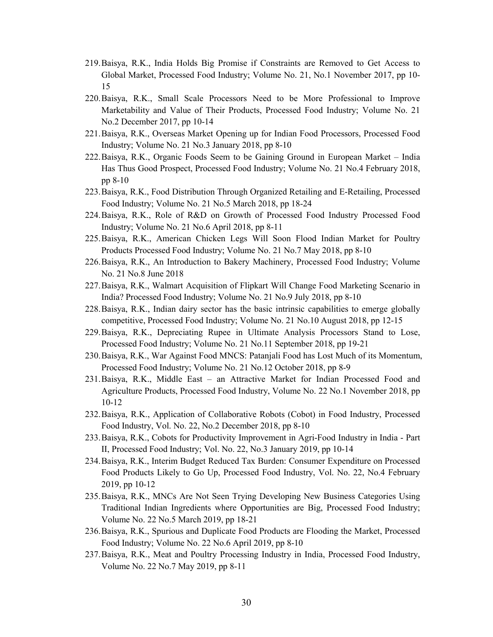- 219.Baisya, R.K., India Holds Big Promise if Constraints are Removed to Get Access to Global Market, Processed Food Industry; Volume No. 21, No.1 November 2017, pp 10- 15
- 220.Baisya, R.K., Small Scale Processors Need to be More Professional to Improve Marketability and Value of Their Products, Processed Food Industry; Volume No. 21 No.2 December 2017, pp 10-14
- 221.Baisya, R.K., Overseas Market Opening up for Indian Food Processors, Processed Food Industry; Volume No. 21 No.3 January 2018, pp 8-10
- 222.Baisya, R.K., Organic Foods Seem to be Gaining Ground in European Market India Has Thus Good Prospect, Processed Food Industry; Volume No. 21 No.4 February 2018, pp 8-10
- 223.Baisya, R.K., Food Distribution Through Organized Retailing and E-Retailing, Processed Food Industry; Volume No. 21 No.5 March 2018, pp 18-24
- 224.Baisya, R.K., Role of R&D on Growth of Processed Food Industry Processed Food Industry; Volume No. 21 No.6 April 2018, pp 8-11
- 225.Baisya, R.K., American Chicken Legs Will Soon Flood Indian Market for Poultry Products Processed Food Industry; Volume No. 21 No.7 May 2018, pp 8-10
- 226.Baisya, R.K., An Introduction to Bakery Machinery, Processed Food Industry; Volume No. 21 No.8 June 2018
- 227.Baisya, R.K., Walmart Acquisition of Flipkart Will Change Food Marketing Scenario in India? Processed Food Industry; Volume No. 21 No.9 July 2018, pp 8-10
- 228.Baisya, R.K., Indian dairy sector has the basic intrinsic capabilities to emerge globally competitive, Processed Food Industry; Volume No. 21 No.10 August 2018, pp 12-15
- 229.Baisya, R.K., Depreciating Rupee in Ultimate Analysis Processors Stand to Lose, Processed Food Industry; Volume No. 21 No.11 September 2018, pp 19-21
- 230.Baisya, R.K., War Against Food MNCS: Patanjali Food has Lost Much of its Momentum, Processed Food Industry; Volume No. 21 No.12 October 2018, pp 8-9
- 231.Baisya, R.K., Middle East an Attractive Market for Indian Processed Food and Agriculture Products, Processed Food Industry, Volume No. 22 No.1 November 2018, pp 10-12
- 232.Baisya, R.K., Application of Collaborative Robots (Cobot) in Food Industry, Processed Food Industry, Vol. No. 22, No.2 December 2018, pp 8-10
- 233.Baisya, R.K., Cobots for Productivity Improvement in Agri-Food Industry in India Part II, Processed Food Industry; Vol. No. 22, No.3 January 2019, pp 10-14
- 234.Baisya, R.K., Interim Budget Reduced Tax Burden: Consumer Expenditure on Processed Food Products Likely to Go Up, Processed Food Industry, Vol. No. 22, No.4 February 2019, pp 10-12
- 235.Baisya, R.K., MNCs Are Not Seen Trying Developing New Business Categories Using Traditional Indian Ingredients where Opportunities are Big, Processed Food Industry; Volume No. 22 No.5 March 2019, pp 18-21
- 236.Baisya, R.K., Spurious and Duplicate Food Products are Flooding the Market, Processed Food Industry; Volume No. 22 No.6 April 2019, pp 8-10
- 237.Baisya, R.K., Meat and Poultry Processing Industry in India, Processed Food Industry, Volume No. 22 No.7 May 2019, pp 8-11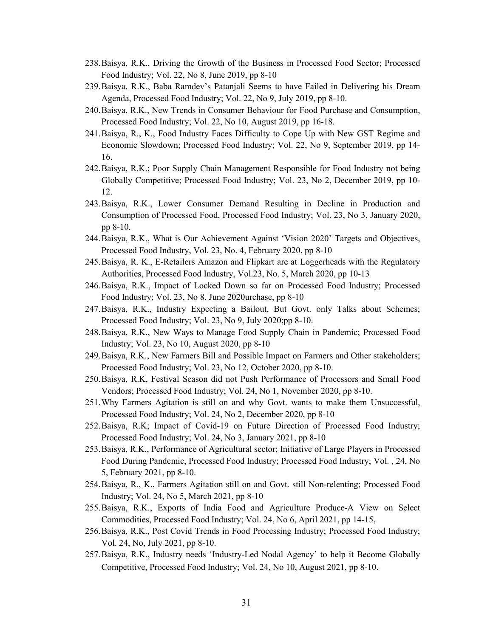- 238.Baisya, R.K., Driving the Growth of the Business in Processed Food Sector; Processed Food Industry; Vol. 22, No 8, June 2019, pp 8-10
- 239.Baisya. R.K., Baba Ramdev's Patanjali Seems to have Failed in Delivering his Dream Agenda, Processed Food Industry; Vol. 22, No 9, July 2019, pp 8-10.
- 240.Baisya, R.K., New Trends in Consumer Behaviour for Food Purchase and Consumption, Processed Food Industry; Vol. 22, No 10, August 2019, pp 16-18.
- 241.Baisya, R., K., Food Industry Faces Difficulty to Cope Up with New GST Regime and Economic Slowdown; Processed Food Industry; Vol. 22, No 9, September 2019, pp 14- 16.
- 242.Baisya, R.K.; Poor Supply Chain Management Responsible for Food Industry not being Globally Competitive; Processed Food Industry; Vol. 23, No 2, December 2019, pp 10- 12.
- 243.Baisya, R.K., Lower Consumer Demand Resulting in Decline in Production and Consumption of Processed Food, Processed Food Industry; Vol. 23, No 3, January 2020, pp 8-10.
- 244.Baisya, R.K., What is Our Achievement Against 'Vision 2020' Targets and Objectives, Processed Food Industry, Vol. 23, No. 4, February 2020, pp 8-10
- 245.Baisya, R. K., E-Retailers Amazon and Flipkart are at Loggerheads with the Regulatory Authorities, Processed Food Industry, Vol.23, No. 5, March 2020, pp 10-13
- 246.Baisya, R.K., Impact of Locked Down so far on Processed Food Industry; Processed Food Industry; Vol. 23, No 8, June 2020urchase, pp 8-10
- 247. Baisya, R.K., Industry Expecting a Bailout, But Govt. only Talks about Schemes; Processed Food Industry; Vol. 23, No 9, July 2020;pp 8-10.
- 248.Baisya, R.K., New Ways to Manage Food Supply Chain in Pandemic; Processed Food Industry; Vol. 23, No 10, August 2020, pp 8-10
- 249.Baisya, R.K., New Farmers Bill and Possible Impact on Farmers and Other stakeholders; Processed Food Industry; Vol. 23, No 12, October 2020, pp 8-10.
- 250.Baisya, R.K, Festival Season did not Push Performance of Processors and Small Food Vendors; Processed Food Industry; Vol. 24, No 1, November 2020, pp 8-10.
- 251.Why Farmers Agitation is still on and why Govt.wants to make them Unsuccessful, Processed Food Industry; Vol. 24, No 2, December 2020, pp 8-10
- 252.Baisya, R.K; Impact of Covid-19 on Future Direction of Processed Food Industry; Processed Food Industry; Vol. 24, No 3, January 2021, pp 8-10
- 253.Baisya, R.K., Performance of Agricultural sector; Initiative of Large Players in Processed Food During Pandemic, Processed Food Industry; Processed Food Industry; Vol. , 24, No 5, February 2021, pp 8-10.
- 254.Baisya, R., K., Farmers Agitation still on and Govt. still Non-relenting; Processed Food Industry; Vol. 24, No 5, March 2021, pp 8-10
- 255.Baisya, R.K., Exports of India Food and Agriculture Produce-A View on Select Commodities, Processed Food Industry; Vol. 24, No 6, April 2021, pp 14-15,
- 256.Baisya, R.K., Post Covid Trends in Food Processing Industry; Processed Food Industry; Vol. 24, No, July 2021, pp 8-10.
- 257.Baisya, R.K., Industry needs 'Industry-Led Nodal Agency' to help it Become Globally Competitive, Processed Food Industry; Vol. 24, No 10, August 2021, pp 8-10.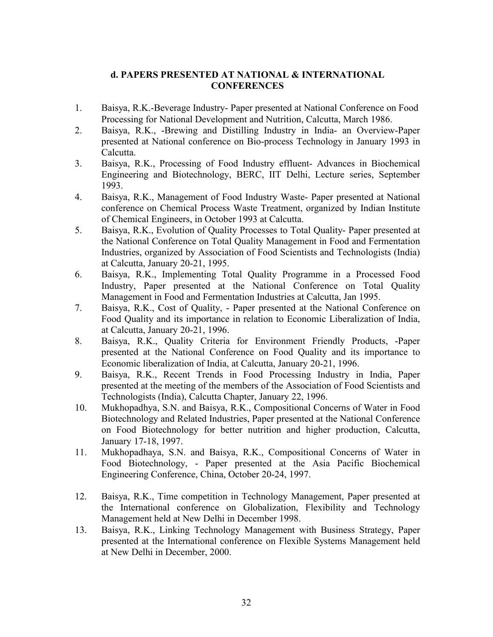#### **d. PAPERS PRESENTED AT NATIONAL & INTERNATIONAL CONFERENCES**

- 1. Baisya, R.K.-Beverage Industry- Paper presented at National Conference on Food Processing for National Development and Nutrition, Calcutta, March 1986.
- 2. Baisya, R.K., -Brewing and Distilling Industry in India- an Overview-Paper presented at National conference on Bio-process Technology in January 1993 in Calcutta.
- 3. Baisya, R.K., Processing of Food Industry effluent- Advances in Biochemical Engineering and Biotechnology, BERC, IIT Delhi, Lecture series, September 1993.
- 4. Baisya, R.K., Management of Food Industry Waste-Paper presented at National conference on Chemical Process Waste Treatment, organized by Indian Institute of Chemical Engineers, in October 1993 at Calcutta.
- 5. Baisya, R.K., Evolution of Quality Processes to Total Quality- Paper presented at the National Conference on Total Quality Management in Food and Fermentation Industries, organized by Association of Food Scientists and Technologists (India) at Calcutta, January 20-21, 1995.
- 6. Baisya, R.K., Implementing Total Quality Programme in a Processed Food Industry, Paper presented at the National Conference on Total Quality Management in Food and Fermentation Industries at Calcutta, Jan 1995.
- 7. Baisya, R.K., Cost of Quality, Paper presented at the National Conference on Food Quality and its importance in relation to Economic Liberalization of India, at Calcutta, January 20-21, 1996.
- 8. Baisya, R.K., Quality Criteria for Environment Friendly Products, -Paper presented at the National Conference on Food Quality and its importance to Economic liberalization of India, at Calcutta, January 20-21, 1996.
- 9. Baisya, R.K., Recent Trends in Food Processing Industry in India, Paper presented at the meeting of the members of the Association of Food Scientists and Technologists (India), Calcutta Chapter, January 22, 1996.
- 10. Mukhopadhya, S.N. and Baisya, R.K., Compositional Concerns of Water in Food Biotechnology and Related Industries, Paper presented at the National Conference on Food Biotechnology for better nutrition and higher production, Calcutta, January 17-18, 1997.
- 11. Mukhopadhaya, S.N. and Baisya, R.K., Compositional Concerns of Water in Food Biotechnology, - Paper presented at the Asia Pacific Biochemical Engineering Conference, China, October 20-24, 1997.
- 12. Baisya, R.K., Time competition in Technology Management, Paper presented at the International conference on Globalization, Flexibility and Technology Management held at New Delhi in December 1998.
- 13. Baisya, R.K., Linking Technology Management with Business Strategy, Paper presented at the International conference on Flexible Systems Management held at New Delhi in December, 2000.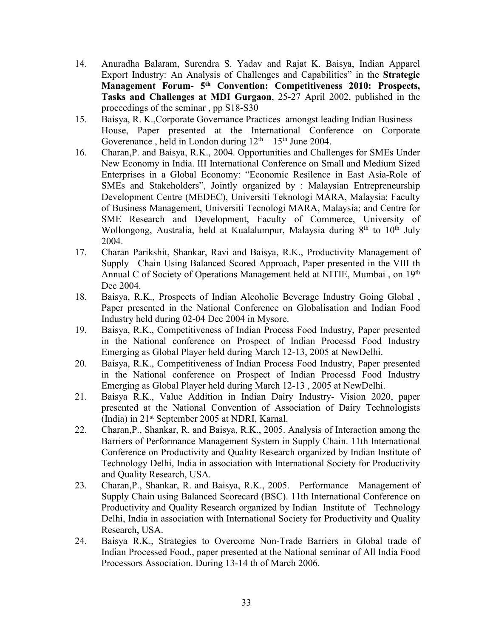- 14. Anuradha Balaram, Surendra S. Yadav and Rajat K. Baisya, Indian Apparel Export Industry: An Analysis of Challenges and Capabilities" in the **Strategic Management Forum- 5 th Convention: Competitiveness 2010: Prospects, Tasks and Challenges at MDI Gurgaon**, 25-27 April 2002, published in the proceedings of the seminar, pp S18-S30
- 15. Baisya, R. K.,Corporate Governance Practices amongst leading Indian Business House, Paper presented at the International Conference on Corporate Goverenance, held in London during  $12<sup>th</sup> - 15<sup>th</sup>$  June 2004.
- 16. Charan,P. and Baisya, R.K., 2004. Opportunities and Challenges for SMEs Under New Economy in India. III International Conference on Small and Medium Sized Enterprises in a Global Economy: "Economic Resilence in East Asia-Role of SMEs and Stakeholders", Jointly organized by : Malaysian Entrepreneurship Development Centre (MEDEC), Universiti Teknologi MARA, Malaysia; Faculty of Business Management, Universiti Tecnologi MARA, Malaysia; and Centre for SME Research and Development, Faculty of Commerce, University of Wollongong, Australia, held at Kualalumpur, Malaysia during 8<sup>th</sup> to 10<sup>th</sup> July 2004.
- 17. Charan Parikshit, Shankar, Ravi and Baisya, R.K., Productivity Management of Supply Chain Using Balanced Scored Approach, Paper presented in the VIII th Annual C of Society of Operations Management held at NITIE, Mumbai, on 19<sup>th</sup> Dec 2004.
- 18. Baisya, R.K., Prospects of Indian Alcoholic Beverage Industry Going Global , Paper presented in the National Conference on Globalisation and Indian Food Industry held during 02-04 Dec 2004 in Mysore.
- 19. Baisya, R.K., Competitiveness of Indian Process Food Industry, Paper presented in the National conference on Prospect of Indian Processd Food Industry Emerging as Global Player held during March 12-13, 2005 at NewDelhi.
- 20. Baisya, R.K., Competitiveness of Indian Process Food Industry, Paper presented in the National conference on Prospect of Indian Processd Food Industry Emerging as Global Player held during March 12-13 , 2005 at NewDelhi.
- 21. Baisya R.K., Value Addition in Indian Dairy Industry- Vision 2020, paper presented at the National Convention of Association of Dairy Technologists (India) in 21 st September 2005 at NDRI, Karnal.
- 22. Charan,P., Shankar, R. and Baisya, R.K., 2005. Analysis of Interaction among the Barriers of Performance Management System in Supply Chain. 11th International Conference on Productivity and Quality Research organized by Indian Institute of Technology Delhi, India in association with International Society for Productivity and Quality Research, USA.
- 23. Charan,P., Shankar, R. and Baisya, R.K., 2005. Performance Management of Supply Chain using Balanced Scorecard (BSC). 11th International Conference on Productivity and Quality Research organized by Indian Institute of Technology Delhi, India in association with International Society for Productivity and Quality Research, USA.
- 24. Baisya R.K., Strategies to Overcome Non-Trade Barriers in Global trade of Indian Processed Food., paper presented at the National seminar of All India Food Processors Association. During 13-14 th of March 2006.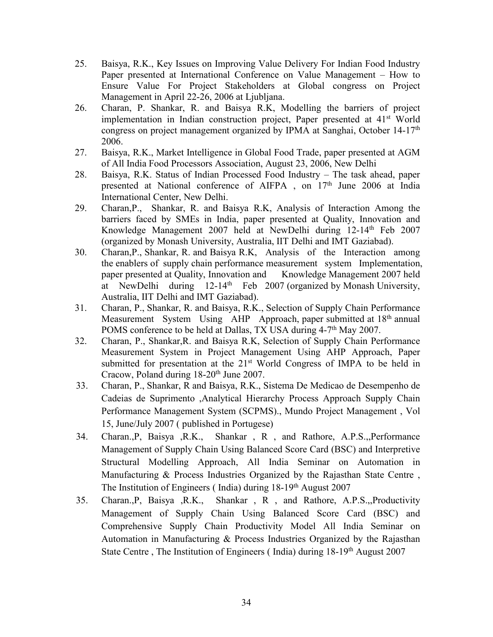- 25. Baisya, R.K., Key Issues on Improving Value Delivery For Indian Food Industry Paper presented at International Conference on Value Management – How to Ensure Value For Project Stakeholders at Global congress on Project Management in April 22-26, 2006 at Ljubljana.
- 26. Charan, P. Shankar, R. and Baisya R.K, Modelling the barriers of project implementation in Indian construction project, Paper presented at 41<sup>st</sup> World congress on project management organized by IPMA at Sanghai, October 14-17 th 2006.
- 27. Baisya, R.K., Market Intelligence in Global Food Trade, paper presented at AGM of All India Food Processors Association, August 23, 2006, New Delhi
- 28. Baisya, R.K. Status of Indian Processed Food Industry The task ahead, paper presented at National conference of AIFPA, on 17<sup>th</sup> June 2006 at India International Center, New Delhi.
- 29. Charan,P., Shankar, R. and Baisya R.K, Analysis of Interaction Among the barriers faced by SMEs in India, paper presented at Quality, Innovation and Knowledge Management 2007 held at NewDelhi during 12-14<sup>th</sup> Feb 2007 (organized by Monash University, Australia, IIT Delhi and IMT Gaziabad).
- 30. Charan,P., Shankar, R. and Baisya R.K, Analysis of the Interaction among the enablers of supply chain performance measurement system Implementation, paper presented at Quality, Innovation and Knowledge Management 2007 held at NewDelhi during 12-14<sup>th</sup> Feb 2007 (organized by Monash University, Australia, IIT Delhi and IMT Gaziabad).
- 31. Charan, P., Shankar, R. and Baisya, R.K., Selection of Supply Chain Performance Measurement System Using AHP Approach, paper submitted at 18<sup>th</sup> annual POMS conference to be held at Dallas, TX USA during 4-7<sup>th</sup> May 2007.
- 32. Charan, P., Shankar,R. and Baisya R.K, Selection of Supply Chain Performance Measurement System in Project Management Using AHP Approach, Paper submitted for presentation at the 21<sup>st</sup> World Congress of IMPA to be held in Cracow, Poland during 18-20<sup>th</sup> June 2007.
- 33. Charan, P., Shankar, R and Baisya, R.K., Sistema De Medicao de Desempenho de Cadeias de Suprimento ,Analytical Hierarchy Process Approach Supply Chain Performance Management System (SCPMS)., Mundo Project Management , Vol 15, June/July 2007 ( published in Portugese)
- 34. Charan.,P, Baisya ,R.K., Shankar , R , and Rathore, A.P.S.,,Performance Management of Supply Chain Using Balanced Score Card (BSC) and Interpretive Structural Modelling Approach, All India Seminar on Automation in Manufacturing & Process Industries Organized by the Rajasthan State Centre , The Institution of Engineers (India) during 18-19<sup>th</sup> August 2007
- 35. Charan.,P, Baisya ,R.K., Shankar , R , and Rathore, A.P.S.,,Productivity Management of Supply Chain Using Balanced Score Card (BSC) and Comprehensive Supply Chain Productivity Model All India Seminar on Automation in Manufacturing & Process Industries Organized by the Rajasthan State Centre, The Institution of Engineers (India) during 18-19<sup>th</sup> August 2007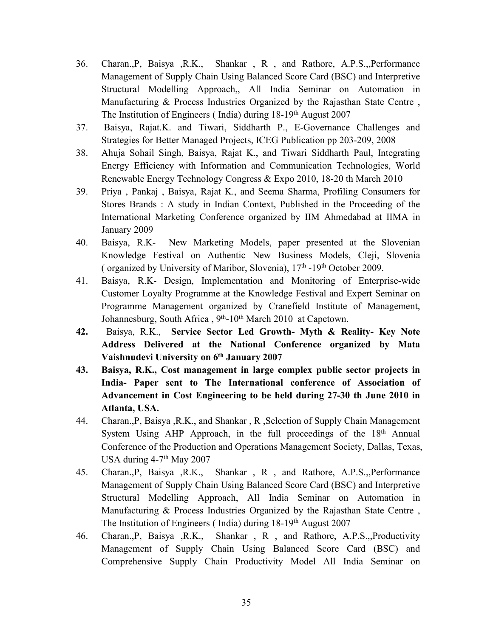- 36. Charan.,P, Baisya ,R.K., Shankar , R , and Rathore, A.P.S.,,Performance Management of Supply Chain Using Balanced Score Card (BSC) and Interpretive Structural Modelling Approach,, All India Seminar on Automation in Manufacturing & Process Industries Organized by the Rajasthan State Centre , The Institution of Engineers (India) during 18-19<sup>th</sup> August 2007
- 37. Baisya, Rajat.K. and Tiwari, Siddharth P., E-Governance Challenges and Strategies for Better Managed Projects, ICEG Publication pp 203-209, 2008
- 38. Ahuja Sohail Singh, Baisya, Rajat K., and Tiwari Siddharth Paul, Integrating Energy Efficiency with Information and Communication Technologies, World Renewable Energy Technology Congress & Expo 2010, 18-20 th March 2010
- 39. Priya, Pankaj, Baisya, Rajat K., and Seema Sharma, Profiling Consumers for Stores Brands : A study in Indian Context, Published in the Proceeding of the International Marketing Conference organized by IIM Ahmedabad at IIMA in January 2009
- 40. Baisya, R.K- New Marketing Models, paper presented at the Slovenian Knowledge Festival on Authentic New Business Models, Cleji, Slovenia (organized by University of Maribor, Slovenia),  $17<sup>th</sup>$  -19<sup>th</sup> October 2009.
- 41. Baisya, R.K- Design, Implementation and Monitoring of Enterprise-wide Customer Loyalty Programme at the Knowledge Festival and Expert Seminar on Programme Management organized by Cranefield Institute of Management, Johannesburg, South Africa, 9<sup>th</sup>-10<sup>th</sup> March 2010 at Capetown.
- **42.** Baisya, R.K., **Service Sector Led Growth-Myth & Reality- Key Note Address Delivered at the National Conference organized by Mata Vaishnudevi University on 6 th January 2007**
- **43. Baisya, R.K., Cost management in large complex public sector projects in India- Paper sent to The International conference of Association of Advancement in Cost Engineering to be held during 27-30 th June 2010 in Atlanta, USA.**
- 44. Charan.,P, Baisya ,R.K., and Shankar , R ,Selection of Supply Chain Management System Using AHP Approach, in the full proceedings of the 18<sup>th</sup> Annual Conference of the Production and Operations Management Society, Dallas, Texas, USA during  $4-7$ <sup>th</sup> May 2007
- 45. Charan.,P, Baisya ,R.K., Shankar , R , and Rathore, A.P.S.,,Performance Management of Supply Chain Using Balanced Score Card (BSC) and Interpretive Structural Modelling Approach, All India Seminar on Automation in Manufacturing & Process Industries Organized by the Rajasthan State Centre , The Institution of Engineers (India) during 18-19<sup>th</sup> August 2007
- 46. Charan.,P, Baisya ,R.K., Shankar , R , and Rathore, A.P.S.,,Productivity Management of Supply Chain Using Balanced Score Card (BSC) and Comprehensive Supply Chain Productivity Model All India Seminar on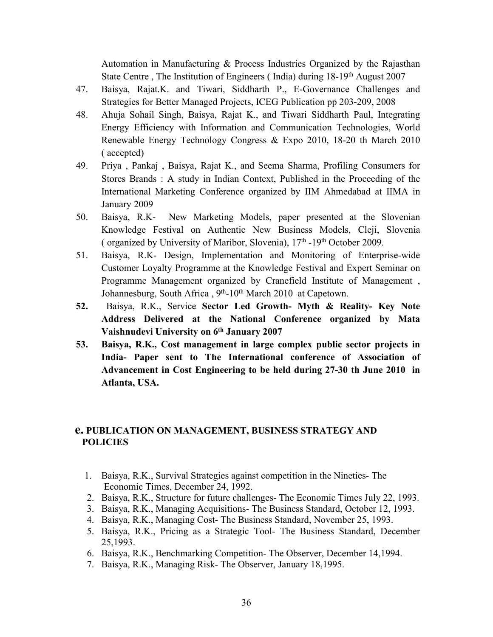Automation in Manufacturing & Process Industries Organized by the Rajasthan State Centre, The Institution of Engineers (India) during 18-19<sup>th</sup> August 2007

- 47. Baisya, Rajat.K. and Tiwari, Siddharth P., E-Governance Challenges and Strategies for Better Managed Projects, ICEG Publication pp 203-209, 2008
- 48. Ahuja Sohail Singh, Baisya, Rajat K., and Tiwari Siddharth Paul, Integrating Energy Efficiency with Information and Communication Technologies, World Renewable Energy Technology Congress & Expo 2010, 18-20 th March 2010 ( accepted)
- 49. Priya, Pankaj, Baisya, Rajat K., and Seema Sharma, Profiling Consumers for Stores Brands : A study in Indian Context, Published in the Proceeding of the International Marketing Conference organized by IIM Ahmedabad at IIMA in January 2009
- 50. Baisya, R.K- New Marketing Models, paper presented at the Slovenian Knowledge Festival on Authentic New Business Models, Cleji, Slovenia (organized by University of Maribor, Slovenia), 17<sup>th</sup> -19<sup>th</sup> October 2009.
- 51. Baisya, R.K- Design, Implementation and Monitoring of Enterprise-wide Customer Loyalty Programme at the Knowledge Festival and Expert Seminar on Programme Management organized by Cranefield Institute of Management , Johannesburg, South Africa, 9<sup>th</sup>-10<sup>th</sup> March 2010 at Capetown.
- **52.** Baisya, R.K., Service Sector Led Growth- Myth & Reality- Key Note **Address Delivered at the National Conference organized by Mata Vaishnudevi University on 6 th January 2007**
- **53. Baisya, R.K., Cost management in large complex public sector projects in India- Paper sent to The International conference of Association of Advancement in Cost Engineering to be held during 27-30 th June 2010 in Atlanta, USA.**

#### **e. PUBLICATION ON MANAGEMENT, BUSINESS STRATEGY AND POLICIES**

- 1. Baisya, R.K., Survival Strategies against competition in the Nineties- The Economic Times, December 24, 1992.
- 2. Baisya, R.K., Structure for future challenges- The Economic Times July 22, 1993.
- 3. Baisya, R.K., Managing Acquisitions- The Business Standard, October 12, 1993.
- 4. Baisya, R.K., Managing Cost- The Business Standard, November 25,1993.
- 5. Baisya, R.K., Pricing as a Strategic Tool- The Business Standard, December 25,1993.
- 6. Baisya, R.K., Benchmarking Competition- The Observer, December 14,1994.
- 7. Baisya, R.K., Managing Risk- The Observer, January 18,1995.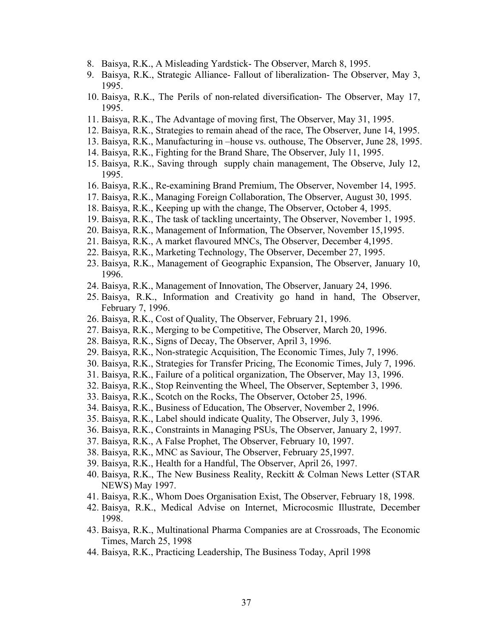- 8. Baisya, R.K., A Misleading Yardstick- The Observer, March 8, 1995.
- 9. Baisya, R.K., Strategic Alliance- Fallout of liberalization- The Observer, May 3, 1995.
- 10. Baisya, R.K., The Perils of non-related diversification- The Observer, May 17, 1995.
- 11. Baisya, R.K., The Advantage of moving first, The Observer, May 31, 1995.
- 12. Baisya, R.K., Strategies to remain ahead of the race,The Observer, June 14, 1995.
- 13. Baisya, R.K., Manufacturing in –house vs. outhouse, The Observer, June 28, 1995.
- 14. Baisya, R.K., Fighting for the Brand Share, The Observer, July 11, 1995.
- 15. Baisya, R.K., Saving through supply chain management, The Observe, July 12, 1995.
- 16. Baisya, R.K., Re-examining Brand Premium, The Observer, November 14, 1995.
- 17. Baisya, R.K., Managing Foreign Collaboration, The Observer, August 30, 1995.
- 18. Baisya, R.K., Keeping up with the change, The Observer, October 4, 1995.
- 19. Baisya, R.K., The task of tackling uncertainty, The Observer, November 1, 1995.
- 20. Baisya, R.K., Management of Information, The Observer, November 15,1995.
- 21. Baisya, R.K., A market flavoured MNCs, The Observer, December 4,1995.
- 22. Baisya, R.K., Marketing Technology, The Observer, December 27,1995.
- 23. Baisya, R.K., Management of Geographic Expansion, The Observer, January 10, 1996.
- 24. Baisya, R.K., Management of Innovation, The Observer, January 24, 1996.
- 25. Baisya, R.K., Information and Creativity go hand in hand, The Observer, February 7, 1996.
- 26. Baisya, R.K., Cost of Quality, The Observer, February 21, 1996.
- 27. Baisya, R.K., Merging to be Competitive, The Observer, March 20, 1996.
- 28. Baisya, R.K., Signs of Decay, The Observer, April 3, 1996.
- 29. Baisya, R.K., Non-strategic Acquisition, The Economic Times, July 7, 1996.
- 30. Baisya, R.K., Strategies for Transfer Pricing, The Economic Times, July 7, 1996.
- 31. Baisya, R.K., Failure of a political organization, The Observer, May 13, 1996.
- 32. Baisya, R.K., Stop Reinventing the Wheel, The Observer, September 3, 1996.
- 33. Baisya, R.K., Scotch on the Rocks, The Observer, October 25, 1996.
- 34. Baisya, R.K., Business of Education, The Observer, November 2, 1996.
- 35. Baisya, R.K., Label should indicate Quality, The Observer, July 3, 1996.
- 36. Baisya, R.K., Constraints in Managing PSUs, The Observer, January 2, 1997.
- 37. Baisya, R.K., A False Prophet,The Observer, February 10, 1997.
- 38. Baisya, R.K., MNC as Saviour, The Observer, February 25,1997.
- 39. Baisya, R.K., Health for a Handful, The Observer, April 26, 1997.
- 40. Baisya, R.K., The New Business Reality, Reckitt & Colman News Letter (STAR NEWS) May 1997.
- 41. Baisya, R.K., Whom Does Organisation Exist, The Observer, February 18, 1998.
- 42. Baisya, R.K., Medical Advise on Internet, Microcosmic Illustrate, December 1998.
- 43. Baisya, R.K., Multinational Pharma Companies are at Crossroads, The Economic Times, March 25, 1998
- 44. Baisya, R.K., Practicing Leadership, The Business Today, April 1998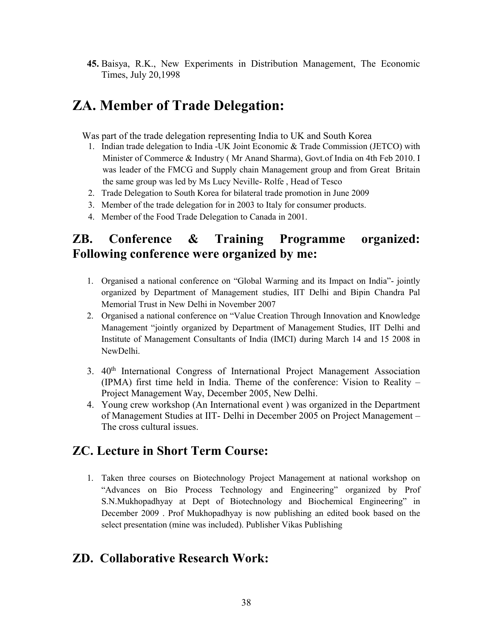**45.** Baisya, R.K., New Experiments in Distribution Management, The Economic Times, July 20,1998

# **ZA. Member of Trade Delegation:**

Was part of the trade delegation representing India to UK and South Korea

- 1. Indian trade delegation to India -UK Joint Economic & Trade Commission (JETCO) with Minister of Commerce & Industry ( Mr Anand Sharma), Govt.of India on 4th Feb 2010. I was leader of the FMCG and Supply chain Management group and from Great Britain the same group was led by Ms Lucy Neville- Rolfe , Head of Tesco
- 2. Trade Delegation to South Korea for bilateral trade promotion in June 2009
- 3. Member of the trade delegation for in 2003 to Italy for consumer products.
- 4. Member of the Food Trade Delegation to Canada in 2001.

# **ZB. Conference & Training Programme organized: Following conference were organized by me:**

- 1. Organised a national conference on "Global Warming and its Impact on India"-jointly organized by Department of Management studies, IIT Delhi and Bipin Chandra Pal Memorial Trust in New Delhi in November 2007
- 2. Organised a national conference on "Value Creation Through Innovation and Knowledge Management "jointly organized by Department of Management Studies, IIT Delhi and Institute of Management Consultants of India (IMCI) during March 14 and 15 2008 in NewDelhi.
- 3. 40 th International Congress of International Project Management Association (IPMA) first time held in India. Theme of the conference: Vision to Reality – Project Management Way, December 2005, New Delhi.
- 4. Young crew workshop(An International event ) was organized in the Department of Management Studies at IIT- Delhi in December 2005 on Project Management – The cross cultural issues.

# **ZC. Lecture in Short Term Course:**

1. Taken three courses on Biotechnology Project Management at national workshop on "Advances on Bio Process Technology and Engineering" organized by Prof S.N.Mukhopadhyay at Dept of Biotechnology and Biochemical Engineering" in December 2009 . Prof Mukhopadhyay is now publishing an edited book based on the select presentation (mine was included). Publisher Vikas Publishing

## **ZD. Collaborative Research Work:**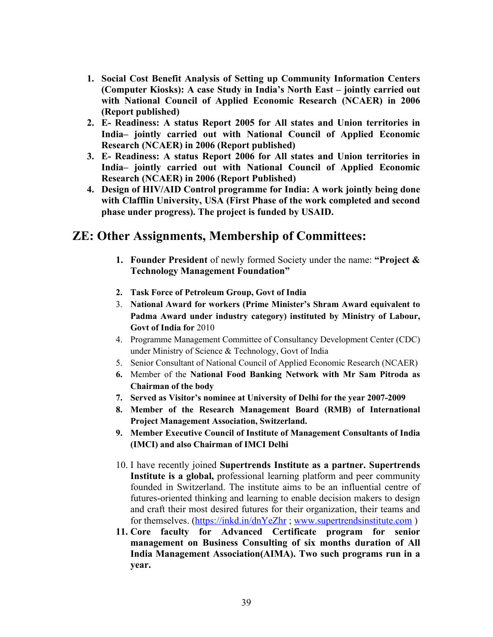- **1. Social Cost Benefit Analysis of Setting up Community Information Centers (Computer Kiosks): A case Study in India's North East – jointly carried out with National Council of Applied Economic Research (NCAER) in 2006 (Report published)**
- **2. E- Readiness: A status Report 2005 for All states and Union territories in India– jointly carried out with National Council of Applied Economic Research (NCAER) in 2006 (Report published)**
- **3. E- Readiness: A status Report 2006 for All states and Union territories in India– jointly carried out with National Council of Applied Economic Research (NCAER) in 2006 (Report Published)**
- **4. Design of HIV/AID Control programme for India: A work jointly being done with Clafflin University, USA (First Phase of the work completed and second phase under progress). The project is funded by USAID.**

# **ZE: Other Assignments, Membership of Committees:**

- **1. Founder President** of newly formed Society under the name: **"Project & Technology Management Foundation"**
- **2. Task Force of Petroleum Group, Govt of India**
- 3. **National Award for workers (Prime Minister's Shram Award equivalent to Padma Award under industry category) instituted by Ministry of Labour, Govt of India for** 2010
- 4. Programme Management Committee of Consultancy Development Center (CDC) under Ministry of Science & Technology, Govt of India
- 5. Senior Consultant of National Council of Applied Economic Research (NCAER)
- **6.** Member of the **National Food Banking Network with Mr Sam Pitroda as Chairman of the body**
- **7. Served as Visitor's nominee at University of Delhi for the year 2007-2009**
- **8. Member of the Research Management Board (RMB) of International Project Management Association, Switzerland.**
- **9. Member Executive Council of Institute of Management Consultants of India (IMCI) and also Chairman of IMCI Delhi**
- 10. I have recently joined **Supertrends Institute as a partner. Supertrends Institute** is a global, professional learning platform and peer community founded in Switzerland. The institute aims to be an influential centre of futures-oriented thinking and learning to enable decision makers to design and craft their most desired futures for their organization, their teams and for themselves. [\(https://inkd.in/dnYeZhr](https://inkd.in/dnYeZhr); [www.supertrendsinstitute.com](http://www.supertrendsinstitute.com))
- **11. Core faculty for Advanced Certificate program for senior management on Business Consulting of six months duration of All India Management Association(AIMA). Two such programs run in a year.**